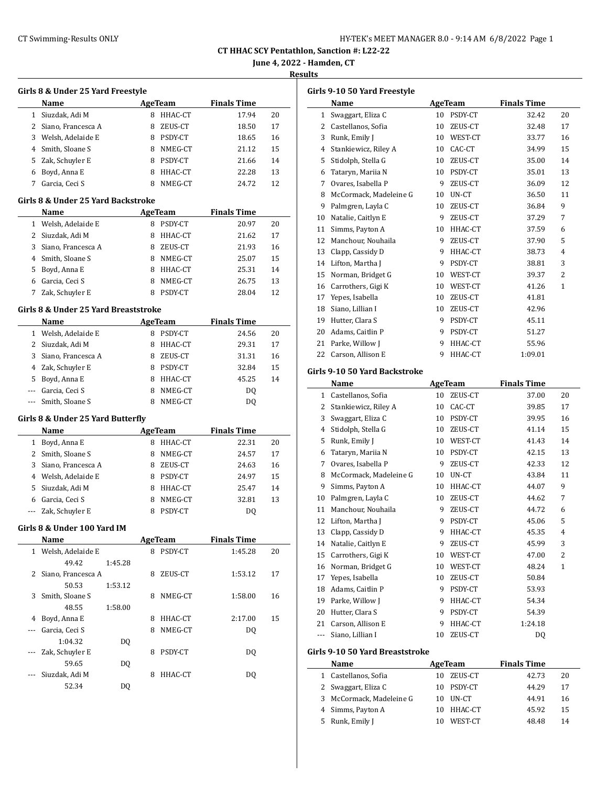# CT Swimming-Results ONLY HY-TEK's MEET MANAGER 8.0 - 9:14 AM 6/8/2022 Page 1

**CT HHAC SCY Pentathlon, Sanction #: L22-22**

**June 4, 2022 - Hamden, CT**

### **Results**

| Girls 8 & Under 25 Yard Freestyle |         |
|-----------------------------------|---------|
| Name                              | AgeTeam |

|    | Name                 |   | AgeTeam | <b>Finals Time</b> |    |
|----|----------------------|---|---------|--------------------|----|
|    | Siuzdak, Adi M       | 8 | HHAC-CT | 17.94              | 20 |
|    | 2 Siano, Francesca A | 8 | ZEUS-CT | 18.50              | 17 |
|    | Welsh, Adelaide E    | 8 | PSDY-CT | 18.65              | 16 |
|    | 4 Smith, Sloane S    | 8 | NMEG-CT | 21.12              | 15 |
| 5. | Zak, Schuyler E      | 8 | PSDY-CT | 21.66              | 14 |
|    | Boyd, Anna E         | 8 | HHAC-CT | 22.28              | 13 |
|    | Garcia, Ceci S       |   | NMEG-CT | 24.72              | 12 |

#### **Girls 8 & Under 25 Yard Backstroke**

|              | <b>Name</b>          |   | AgeTeam        | <b>Finals Time</b> |    |
|--------------|----------------------|---|----------------|--------------------|----|
| $\mathbf{1}$ | Welsh, Adelaide E    |   | PSDY-CT        | 20.97              | 20 |
|              | 2 Siuzdak, Adi M     | 8 | HHAC-CT        | 21.62              | 17 |
|              | 3 Siano, Francesca A | 8 | ZEUS-CT        | 21.93              | 16 |
|              | 4 Smith, Sloane S    | я | NMEG-CT        | 25.07              | 15 |
|              | 5 Boyd, Anna E       |   | HHAC-CT        | 25.31              | 14 |
| 6            | Garcia, Ceci S       | 8 | NMEG-CT        | 26.75              | 13 |
|              | Zak, Schuyler E      |   | <b>PSDY-CT</b> | 28.04              | 12 |

#### **Girls 8 & Under 25 Yard Breaststroke**

| Name                 |   | AgeTeam | <b>Finals Time</b> |    |
|----------------------|---|---------|--------------------|----|
| 1 Welsh, Adelaide E  | 8 | PSDY-CT | 24.56              | 20 |
| 2 Siuzdak, Adi M     | 8 | HHAC-CT | 29.31              | 17 |
| 3 Siano, Francesca A | 8 | ZEUS-CT | 31.31              | 16 |
| 4 Zak, Schuyler E    | 8 | PSDY-CT | 32.84              | 15 |
| 5 Boyd, Anna E       | 8 | HHAC-CT | 45.25              | 14 |
| Garcia, Ceci S       | 8 | NMEG-CT | DO.                |    |
| Smith, Sloane S      | 8 | NMEG-CT | D0                 |    |

#### **Girls 8 & Under 25 Yard Butterfly**

|   | Name                 | AgeTeam |                | <b>Finals Time</b> |    |
|---|----------------------|---------|----------------|--------------------|----|
| 1 | Boyd, Anna E         |         | HHAC-CT        | 22.31              | 20 |
|   | 2 Smith, Sloane S    | 8       | NMEG-CT        | 24.57              | 17 |
|   | 3 Siano, Francesca A | 8       | ZEUS-CT        | 24.63              | 16 |
| 4 | Welsh, Adelaide E    |         | PSDY-CT        | 24.97              | 15 |
|   | 5 Siuzdak, Adi M     |         | HHAC-CT        | 25.47              | 14 |
| 6 | Garcia, Ceci S       |         | NMEG-CT        | 32.81              | 13 |
|   | --- Zak, Schuyler E  |         | <b>PSDY-CT</b> | D0                 |    |

#### **Girls 8 & Under 100 Yard IM**

|       | Name               |                |   | AgeTeam | <b>Finals Time</b> |    |
|-------|--------------------|----------------|---|---------|--------------------|----|
| 1     | Welsh, Adelaide E  |                | 8 | PSDY-CT | 1:45.28            | 20 |
|       | 49.42              | 1:45.28        |   |         |                    |    |
| 2.    | Siano, Francesca A |                | 8 | ZEUS-CT | 1:53.12            | 17 |
|       | 50.53              | 1:53.12        |   |         |                    |    |
| 3     | Smith, Sloane S    |                | 8 | NMEG-CT | 1:58.00            | 16 |
|       | 48.55              | 1:58.00        |   |         |                    |    |
| 4     | Boyd, Anna E       |                | 8 | HHAC-CT | 2:17.00            | 15 |
| $---$ | Garcia, Ceci S     |                | 8 | NMEG-CT | D <sub>0</sub>     |    |
|       | 1:04.32            | DO.            |   |         |                    |    |
|       | Zak, Schuyler E    |                | 8 | PSDY-CT | D <sub>0</sub>     |    |
|       | 59.65              | D <sub>0</sub> |   |         |                    |    |
|       | Siuzdak, Adi M     |                | 8 | HHAC-CT | DO.                |    |
|       | 52.34              | DQ             |   |         |                    |    |
|       |                    |                |   |         |                    |    |

| Girls 9-10 50 Yard Freestyle |                        |    |         |                    |                |  |  |
|------------------------------|------------------------|----|---------|--------------------|----------------|--|--|
|                              | Name                   |    | AgeTeam | <b>Finals Time</b> |                |  |  |
| $\mathbf{1}$                 | Swaggart, Eliza C      | 10 | PSDY-CT | 32.42              | 20             |  |  |
| 2                            | Castellanos, Sofia     | 10 | ZEUS-CT | 32.48              | 17             |  |  |
| 3                            | Runk, Emily J          | 10 | WEST-CT | 33.77              | 16             |  |  |
| 4                            | Stankiewicz, Riley A   | 10 | CAC-CT  | 34.99              | 15             |  |  |
| 5                            | Stidolph, Stella G     | 10 | ZEUS-CT | 35.00              | 14             |  |  |
| 6                            | Tataryn, Mariia N      | 10 | PSDY-CT | 35.01              | 13             |  |  |
| 7                            | Ovares, Isabella P     | 9  | ZEUS-CT | 36.09              | 12             |  |  |
| 8                            | McCormack. Madeleine G | 10 | UN-CT   | 36.50              | 11             |  |  |
| 9                            | Palmgren, Layla C      | 10 | ZEUS-CT | 36.84              | 9              |  |  |
| 10                           | Natalie, Caitlyn E     | 9  | ZEUS-CT | 37.29              | 7              |  |  |
| 11                           | Simms, Payton A        | 10 | HHAC-CT | 37.59              | 6              |  |  |
| 12                           | Manchour, Nouhaila     | 9  | ZEUS-CT | 37.90              | 5              |  |  |
| 13                           | Clapp, Cassidy D       | 9  | HHAC-CT | 38.73              | $\overline{4}$ |  |  |
| 14                           | Lifton, Martha J       | 9  | PSDY-CT | 38.81              | 3              |  |  |
| 15                           | Norman, Bridget G      | 10 | WEST-CT | 39.37              | $\overline{2}$ |  |  |
| 16                           | Carrothers, Gigi K     | 10 | WEST-CT | 41.26              | 1              |  |  |
| 17                           | Yepes, Isabella        | 10 | ZEUS-CT | 41.81              |                |  |  |
| 18                           | Siano, Lillian I       | 10 | ZEUS-CT | 42.96              |                |  |  |
| 19                           | Hutter, Clara S        | 9  | PSDY-CT | 45.11              |                |  |  |
| 20                           | Adams, Caitlin P       | 9  | PSDY-CT | 51.27              |                |  |  |
| 21                           | Parke, Willow I        | 9  | HHAC-CT | 55.96              |                |  |  |
| 22                           | Carson, Allison E      | 9  | HHAC-CT | 1:09.01            |                |  |  |

### **Girls 9-10 50 Yard Backstroke**

|              | Name                            |    | AgeTeam | <b>Finals Time</b> |                |  |  |
|--------------|---------------------------------|----|---------|--------------------|----------------|--|--|
| $\mathbf{1}$ | Castellanos, Sofia              | 10 | ZEUS-CT | 37.00              | 20             |  |  |
| 2            | Stankiewicz, Riley A            | 10 | CAC-CT  | 39.85              | 17             |  |  |
| 3            | Swaggart, Eliza C               | 10 | PSDY-CT | 39.95              | 16             |  |  |
| 4            | Stidolph, Stella G              | 10 | ZEUS-CT | 41.14              | 15             |  |  |
| 5            | Runk, Emily J                   | 10 | WEST-CT | 41.43              | 14             |  |  |
| 6            | Tataryn, Mariia N               | 10 | PSDY-CT | 42.15              | 13             |  |  |
| 7            | Ovares, Isabella P              | 9  | ZEUS-CT | 42.33              | 12             |  |  |
| 8            | McCormack, Madeleine G          | 10 | UN-CT   | 43.84              | 11             |  |  |
| 9            | Simms, Payton A                 | 10 | HHAC-CT | 44.07              | 9              |  |  |
| 10           | Palmgren, Layla C               | 10 | ZEUS-CT | 44.62              | 7              |  |  |
| 11           | Manchour, Nouhaila              | 9  | ZEUS-CT | 44.72              | 6              |  |  |
| 12           | Lifton, Martha J                | 9  | PSDY-CT | 45.06              | 5              |  |  |
| 13           | Clapp, Cassidy D                | 9  | HHAC-CT | 45.35              | 4              |  |  |
| 14           | Natalie, Caitlyn E              | 9  | ZEUS-CT | 45.99              | 3              |  |  |
| 15           | Carrothers, Gigi K              | 10 | WEST-CT | 47.00              | $\overline{c}$ |  |  |
| 16           | Norman, Bridget G               | 10 | WEST-CT | 48.24              | $\mathbf{1}$   |  |  |
| 17           | Yepes, Isabella                 | 10 | ZEUS-CT | 50.84              |                |  |  |
| 18           | Adams, Caitlin P                | 9  | PSDY-CT | 53.93              |                |  |  |
| 19           | Parke, Willow J                 | 9  | HHAC-CT | 54.34              |                |  |  |
| 20           | Hutter, Clara S                 | 9  | PSDY-CT | 54.39              |                |  |  |
| 21           | Carson, Allison E               | 9  | HHAC-CT | 1:24.18            |                |  |  |
| ---          | Siano, Lillian I                | 10 | ZEUS-CT | DO.                |                |  |  |
|              | Girls 9-10 50 Yard Breaststroke |    |         |                    |                |  |  |

| Name                     |    | AgeTeam    | <b>Finals Time</b> |    |
|--------------------------|----|------------|--------------------|----|
| 1 Castellanos, Sofia     |    | 10 ZEUS-CT | 42.73              | 20 |
| 2 Swaggart, Eliza C      | 10 | PSDY-CT    | 44.29              | 17 |
| 3 McCormack, Madeleine G |    | 10 UN-CT   | 44.91              | 16 |
| 4 Simms, Payton A        | 10 | HHAC-CT    | 45.92              | 15 |
| 5 Runk, Emily J          | 10 | WEST-CT    | 48.48              | 14 |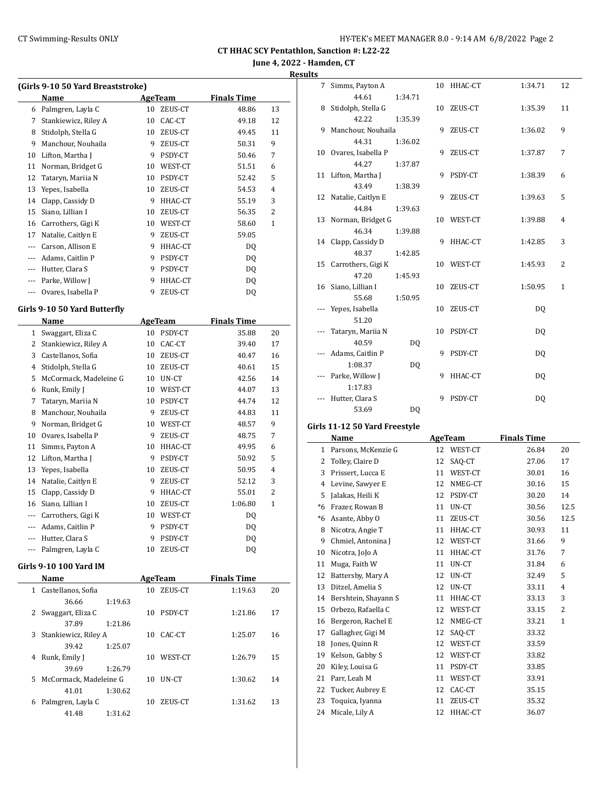**June 4, 2022 - Hamden, CT**

**Results**

| (Girls 9-10 50 Yard Breaststroke) |                              |    |                |                    |                |  |
|-----------------------------------|------------------------------|----|----------------|--------------------|----------------|--|
|                                   | Name                         |    | <b>AgeTeam</b> | <b>Finals Time</b> |                |  |
| 6                                 | Palmgren, Layla C            | 10 | ZEUS-CT        | 48.86              | 13             |  |
| 7                                 | Stankiewicz, Riley A         | 10 | CAC-CT         | 49.18              | 12             |  |
| 8                                 | Stidolph, Stella G           | 10 | ZEUS-CT        | 49.45              | 11             |  |
| 9                                 | Manchour, Nouhaila           | 9  | ZEUS-CT        | 50.31              | 9              |  |
| 10                                | Lifton, Martha J             | 9  | PSDY-CT        | 50.46              | 7              |  |
| 11                                | Norman, Bridget G            |    | 10 WEST-CT     | 51.51              | 6              |  |
| 12                                | Tataryn, Mariia N            |    | 10 PSDY-CT     | 52.42              | 5              |  |
| 13                                | Yepes, Isabella              |    | 10 ZEUS-CT     | 54.53              | $\overline{4}$ |  |
| 14                                | Clapp, Cassidy D             |    | 9 HHAC-CT      | 55.19              | 3              |  |
| 15                                | Siano, Lillian I             |    | 10 ZEUS-CT     | 56.35              | 2              |  |
| 16                                | Carrothers, Gigi K           |    | 10 WEST-CT     | 58.60              | 1              |  |
| 17                                | Natalie, Caitlyn E           | 9  | ZEUS-CT        | 59.05              |                |  |
| $---$                             | Carson, Allison E            | 9. | HHAC-CT        | DQ                 |                |  |
| ---                               | Adams, Caitlin P             | 9  | PSDY-CT        | DQ                 |                |  |
| ---                               | Hutter, Clara S              | 9  | PSDY-CT        | DQ                 |                |  |
| ---                               | Parke, Willow J              | 9. | HHAC-CT        | DQ                 |                |  |
| ---                               | Ovares, Isabella P           | 9  | ZEUS-CT        | <b>DQ</b>          |                |  |
|                                   |                              |    |                |                    |                |  |
|                                   | Girls 9-10 50 Yard Butterfly |    |                |                    |                |  |
|                                   | Name                         |    | AgeTeam        | <b>Finals Time</b> |                |  |
| $\mathbf{1}$                      | Swaggart, Eliza C            |    | 10 PSDY-CT     | 35.88              | 20             |  |
| 2                                 | Stankiewicz, Riley A         |    | 10 CAC-CT      | 39.40              | 17             |  |
| 3                                 | Castellanos, Sofia           |    | 10 ZEUS-CT     | 40.47              | 16             |  |
| 4                                 | Stidolph, Stella G           |    | 10 ZEUS-CT     | 40.61              | 15             |  |
| 5                                 | McCormack, Madeleine G       | 10 | UN-CT          | 42.56              | 14             |  |
| 6                                 | Runk, Emily J                |    | 10 WEST-CT     | 44.07              | 13             |  |
| 7                                 | Tataryn, Mariia N            |    | 10 PSDY-CT     | 44.74              | 12             |  |
| 8                                 | Manchour, Nouhaila           | 9  | ZEUS-CT        | 44.83              | 11             |  |
| 9                                 | Norman, Bridget G            |    | 10 WEST-CT     | 48.57              | 9              |  |
| 10                                | Ovares, Isabella P           | 9  | ZEUS-CT        | 48.75              | 7              |  |
| 11                                | Simms, Payton A              |    | 10 HHAC-CT     | 49.95              | 6              |  |
| 12                                | Lifton, Martha J             |    | 9 PSDY-CT      | 50.92              | 5              |  |
| 13                                | Yepes, Isabella              |    | 10 ZEUS-CT     | 50.95              | 4              |  |
| 14                                | Natalie, Caitlyn E           | 9  | ZEUS-CT        | 52.12              | 3              |  |
| 15                                | Clapp, Cassidy D             | 9  | HHAC-CT        | 55.01              | 2              |  |
| 16                                | Siano, Lillian I             | 10 | ZEUS-CT        | 1:06.80            | 1              |  |
| ---                               | Carrothers, Gigi K           | 10 | WEST-CT        | DQ                 |                |  |
| ---                               | Adams, Caitlin P             | 9  | PSDY-CT        | DQ                 |                |  |
| ---                               | Hutter, Clara S              | 9  | PSDY-CT        | DQ                 |                |  |
|                                   | Palmgren, Layla C            | 10 | ZEUS-CT        | <b>DQ</b>          |                |  |
|                                   | Girls 9-10 100 Yard IM       |    |                |                    |                |  |
|                                   | Name                         |    | <b>AgeTeam</b> | <b>Finals Time</b> |                |  |
| 1                                 | Castellanos, Sofia           | 10 | ZEUS-CT        | 1:19.63            | 20             |  |
|                                   | 36.66<br>1:19.63             |    |                |                    |                |  |
| 2                                 | Swaggart, Eliza C            | 10 | PSDY-CT        | 1:21.86            | 17             |  |

37.89 1:21.86 3 Stankiewicz, Riley A 10 CAC-CT 39.42 1:25.07 4 Runk, Emily J 10 WEST-CT 39.69 1:26.79 5 McCormack, Madeleine G 10 UN-CT 41.01 1:30.62 6 Palmgren, Layla C 10 ZEUS-CT 41.48 1:31.62

|                    |                |      | r arbono, menenzie u |    |         | 20. U I |
|--------------------|----------------|------|----------------------|----|---------|---------|
| 50.92              | 5              | 2    | Tolley, Claire D     | 12 | SAQ-CT  | 27.06   |
| 50.95              | $\overline{4}$ | 3    | Prissert, Lucca E    | 11 | WEST-CT | 30.01   |
| 52.12              | 3              | 4    | Levine, Sawyer E     | 12 | NMEG-CT | 30.16   |
| 55.01              | 2              | 5    | Jalakas, Heili K     | 12 | PSDY-CT | 30.20   |
| 1:06.80            | $\mathbf{1}$   | $*6$ | Frazer, Rowan B      | 11 | UN-CT   | 30.56   |
| DQ                 |                | *6   | Asante, Abby O       | 11 | ZEUS-CT | 30.56   |
| D <sub>0</sub>     |                | 8    | Nicotra, Angie T     | 11 | HHAC-CT | 30.93   |
| DQ                 |                | 9    | Chmiel, Antonina J   | 12 | WEST-CT | 31.66   |
| DQ                 |                | 10   | Nicotra, JoJo A      | 11 | HHAC-CT | 31.76   |
|                    |                | 11   | Muga, Faith W        | 11 | UN-CT   | 31.84   |
| <b>Finals Time</b> |                | 12   | Battersby, Mary A    | 12 | UN-CT   | 32.49   |
| 1:19.63            | 20             | 13   | Ditzel, Amelia S     | 12 | UN-CT   | 33.11   |
|                    |                | 14   | Bershtein, Shayann S | 11 | HHAC-CT | 33.13   |
| 1:21.86            | 17             | 15   | Orbezo, Rafaella C   | 12 | WEST-CT | 33.15   |
|                    |                | 16   | Bergeron, Rachel E   | 12 | NMEG-CT | 33.21   |
| 1:25.07            | 16             | 17   | Gallagher, Gigi M    | 12 | SAO-CT  | 33.32   |
|                    |                | 18   | Jones, Quinn R       | 12 | WEST-CT | 33.59   |
| 1:26.79            | 15             | 19   | Kelson, Gabby S      | 12 | WEST-CT | 33.82   |
|                    |                | 20   | Kiley, Louisa G      | 11 | PSDY-CT | 33.85   |
| 1:30.62            | 14             | 21   | Parr, Leah M         | 11 | WEST-CT | 33.91   |
|                    |                | 22   | Tucker, Aubrey E     | 12 | CAC-CT  | 35.15   |
| 1:31.62            | 13             | 23   | Toquica, Iyanna      | 11 | ZEUS-CT | 35.32   |
|                    |                | 24   | Micale, Lily A       | 12 | HHAC-CT | 36.07   |
|                    |                |      |                      |    |         |         |

 $\overline{a}$ 

| 7  | Simms, Payton A    |         | 10 | HHAC-CT | 1:34.71 | 12             |
|----|--------------------|---------|----|---------|---------|----------------|
|    | 44.61              | 1:34.71 |    |         |         |                |
| 8  | Stidolph, Stella G |         | 10 | ZEUS-CT | 1:35.39 | 11             |
|    | 42.22              | 1:35.39 |    |         |         |                |
| 9  | Manchour, Nouhaila |         | 9  | ZEUS-CT | 1:36.02 | 9              |
|    | 44.31              | 1:36.02 |    |         |         |                |
| 10 | Ovares, Isabella P |         | 9  | ZEUS-CT | 1:37.87 | 7              |
|    | 44.27              | 1:37.87 |    |         |         |                |
| 11 | Lifton, Martha J   |         | 9  | PSDY-CT | 1:38.39 | 6              |
|    | 43.49              | 1:38.39 |    |         |         |                |
| 12 | Natalie, Caitlyn E |         | 9  | ZEUS-CT | 1:39.63 | 5              |
|    | 44.84              | 1:39.63 |    |         |         |                |
| 13 | Norman, Bridget G  |         | 10 | WEST-CT | 1:39.88 | $\overline{4}$ |
|    | 46.34              | 1:39.88 |    |         |         |                |
| 14 | Clapp, Cassidy D   |         | 9  | HHAC-CT | 1:42.85 | 3              |
|    | 48.37              | 1:42.85 |    |         |         |                |
| 15 | Carrothers, Gigi K |         | 10 | WEST-CT | 1:45.93 | 2              |
|    | 47.20              | 1:45.93 |    |         |         |                |
| 16 | Siano, Lillian I   |         | 10 | ZEUS-CT | 1:50.95 | $\mathbf{1}$   |
|    | 55.68              | 1:50.95 |    |         |         |                |
|    | Yepes, Isabella    |         | 10 | ZEUS-CT | DQ      |                |
|    | 51.20              |         |    |         |         |                |
|    | Tataryn, Mariia N  |         | 10 | PSDY-CT | DQ      |                |
|    | 40.59              | DQ      |    |         |         |                |
|    | Adams, Caitlin P   |         | 9  | PSDY-CT | DQ      |                |
|    | 1:08.37            | DQ      |    |         |         |                |
|    | Parke, Willow J    |         | 9  | HHAC-CT | DQ      |                |
|    | 1:17.83            |         |    |         |         |                |
|    | Hutter, Clara S    |         | 9  | PSDY-CT | DQ      |                |
|    | 53.69              | DQ      |    |         |         |                |

#### **Girls 11-12 50 Yard Freestyle**

|      | Name                 | AgeTeam |                | <b>Finals Time</b> |                |
|------|----------------------|---------|----------------|--------------------|----------------|
| 1    | Parsons, McKenzie G  | 12      | WEST-CT        | 26.84              | 20             |
| 2    | Tolley, Claire D     | 12      | SAQ-CT         | 27.06              | 17             |
| 3    | Prissert, Lucca E    | 11      | WEST-CT        | 30.01              | 16             |
| 4    | Levine, Sawyer E     | 12      | NMEG-CT        | 30.16              | 15             |
| 5    | Jalakas, Heili K     | 12      | PSDY-CT        | 30.20              | 14             |
| $*6$ | Frazer, Rowan B      | 11      | UN-CT          | 30.56              | 12.5           |
| $*6$ | Asante, Abby O       | 11      | ZEUS-CT        | 30.56              | 12.5           |
| 8    | Nicotra, Angie T     | 11      | HHAC-CT        | 30.93              | 11             |
| 9    | Chmiel, Antonina J   | 12      | WEST-CT        | 31.66              | 9              |
| 10   | Nicotra, JoJo A      | 11      | HHAC-CT        | 31.76              | 7              |
| 11   | Muga, Faith W        | 11      | UN-CT          | 31.84              | 6              |
| 12   | Battersby, Mary A    | 12      | UN-CT          | 32.49              | 5              |
| 13   | Ditzel, Amelia S     | 12      | UN-CT          | 33.11              | $\overline{4}$ |
| 14   | Bershtein, Shayann S | 11      | HHAC-CT        | 33.13              | 3              |
| 15   | Orbezo, Rafaella C   | 12      | WEST-CT        | 33.15              | 2              |
| 16   | Bergeron, Rachel E   | 12      | NMEG-CT        | 33.21              | $\mathbf{1}$   |
| 17   | Gallagher, Gigi M    | 12      | SAO-CT         | 33.32              |                |
| 18   | Jones, Quinn R       | 12      | WEST-CT        | 33.59              |                |
| 19   | Kelson, Gabby S      | 12      | WEST-CT        | 33.82              |                |
| 20   | Kiley, Louisa G      | 11      | PSDY-CT        | 33.85              |                |
| 21   | Parr, Leah M         | 11      | WEST-CT        | 33.91              |                |
| 22   | Tucker, Aubrey E     | 12      | CAC-CT         | 35.15              |                |
| 23   | Toquica, Iyanna      | 11      | ZEUS-CT        | 35.32              |                |
| ົາ 4 | Migola Like A        |         | $12$ IIIIAC CT | 26.07              |                |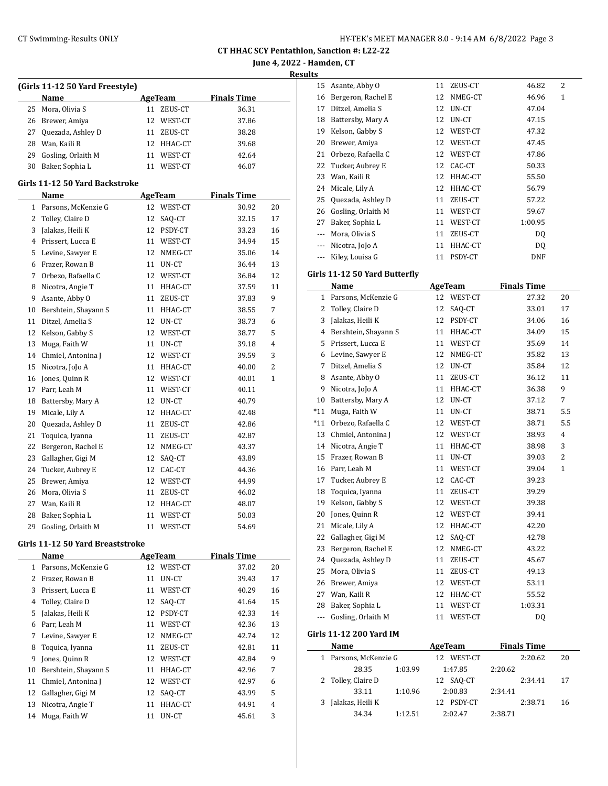**June 4, 2022 - Hamden, CT**

**Results**

|    | (Girls 11-12 50 Yard Freestyle) |    |                |                    |                |
|----|---------------------------------|----|----------------|--------------------|----------------|
|    | Name                            |    | <b>AgeTeam</b> | <b>Finals Time</b> |                |
| 25 | Mora, Olivia S                  | 11 | ZEUS-CT        | 36.31              |                |
| 26 | Brewer, Amiya                   | 12 | WEST-CT        | 37.86              |                |
| 27 | Quezada, Ashley D               | 11 | ZEUS-CT        | 38.28              |                |
| 28 | Wan, Kaili R                    | 12 | HHAC-CT        | 39.68              |                |
| 29 | Gosling, Orlaith M              | 11 | WEST-CT        | 42.64              |                |
| 30 | Baker, Sophia L                 | 11 | WEST-CT        | 46.07              |                |
|    | Girls 11-12 50 Yard Backstroke  |    |                |                    |                |
|    | Name                            |    | AgeTeam        | <b>Finals Time</b> |                |
| 1  | Parsons, McKenzie G             | 12 | WEST-CT        | 30.92              | 20             |
| 2  | Tolley, Claire D                | 12 | SAQ-CT         | 32.15              | 17             |
| 3  | Jalakas, Heili K                | 12 | PSDY-CT        | 33.23              | 16             |
| 4  | Prissert, Lucca E               |    | 11 WEST-CT     | 34.94              | 15             |
| 5  | Levine, Sawyer E                | 12 | NMEG-CT        | 35.06              | 14             |
| 6  | Frazer, Rowan B                 | 11 | UN-CT          | 36.44              | 13             |
| 7  | Orbezo, Rafaella C              | 12 | WEST-CT        | 36.84              | 12             |
| 8  | Nicotra, Angie T                | 11 | HHAC-CT        | 37.59              | 11             |
| 9  | Asante, Abby O                  | 11 | ZEUS-CT        | 37.83              | 9              |
| 10 | Bershtein, Shayann S            | 11 | HHAC-CT        | 38.55              | 7              |
| 11 | Ditzel, Amelia S                | 12 | UN-CT          | 38.73              | 6              |
| 12 | Kelson, Gabby S                 | 12 | WEST-CT        | 38.77              | 5              |
| 13 | Muga, Faith W                   |    | 11 UN-CT       | 39.18              | $\overline{4}$ |
| 14 | Chmiel, Antonina J              |    | 12 WEST-CT     | 39.59              | 3              |
| 15 | Nicotra, JoJo A                 | 11 | HHAC-CT        | 40.00              | $\overline{2}$ |
| 16 | Jones, Quinn R                  | 12 | WEST-CT        | 40.01              | 1              |
| 17 | Parr, Leah M                    | 11 | WEST-CT        | 40.11              |                |
| 18 | Battersby, Mary A               | 12 | UN-CT          | 40.79              |                |
| 19 | Micale, Lily A                  | 12 | HHAC-CT        | 42.48              |                |
| 20 | Quezada, Ashley D               | 11 | ZEUS-CT        | 42.86              |                |
| 21 | Toquica, Iyanna                 | 11 | ZEUS-CT        | 42.87              |                |
| 22 | Bergeron, Rachel E              |    | 12 NMEG-CT     | 43.37              |                |
| 23 | Gallagher, Gigi M               | 12 | SAQ-CT         | 43.89              |                |
| 24 | Tucker, Aubrey E                | 12 | CAC-CT         | 44.36              |                |
| 25 | Brewer, Amiya                   | 12 | WEST-CT        | 44.99              |                |
| 26 | Mora, Olivia S                  | 11 | ZEUS-CT        | 46.02              |                |
| 27 | Wan, Kaili R                    | 12 | HHAC-CT        | 48.07              |                |
| 28 | Baker, Sophia L                 | 11 | WEST-CT        | 50.03              |                |
| 29 | Gosling, Orlaith M              | 11 | WEST-CT        | 54.69              |                |

#### **Girls 11-12 50 Yard Breaststroke**

|    | Name                 |    | <b>AgeTeam</b> | <b>Finals Time</b> |       |    |
|----|----------------------|----|----------------|--------------------|-------|----|
| 1  | Parsons, McKenzie G  |    | 12 WEST-CT     |                    | 37.02 | 20 |
| 2  | Frazer, Rowan B      | 11 | UN-CT          |                    | 39.43 | 17 |
| 3  | Prissert, Lucca E    | 11 | WEST-CT        |                    | 40.29 | 16 |
| 4  | Tolley, Claire D     | 12 | SAQ-CT         |                    | 41.64 | 15 |
| 5  | Jalakas, Heili K     | 12 | PSDY-CT        |                    | 42.33 | 14 |
| 6  | Parr, Leah M         | 11 | WEST-CT        |                    | 42.36 | 13 |
| 7  | Levine, Sawyer E     | 12 | NMEG-CT        |                    | 42.74 | 12 |
| 8  | Toquica, Iyanna      | 11 | ZEUS-CT        |                    | 42.81 | 11 |
| 9  | Jones, Quinn R       | 12 | WEST-CT        |                    | 42.84 | 9  |
| 10 | Bershtein, Shayann S | 11 | HHAC-CT        |                    | 42.96 | 7  |
| 11 | Chmiel, Antonina J   | 12 | WEST-CT        |                    | 42.97 | 6  |
| 12 | Gallagher, Gigi M    | 12 | SAO-CT         |                    | 43.99 | 5  |
| 13 | Nicotra, Angie T     | 11 | HHAC-CT        |                    | 44.91 | 4  |
| 14 | Muga, Faith W        | 11 | UN-CT          |                    | 45.61 | 3  |

| 15 | Asante, Abby O     | 11 | ZEUS-CT | 46.82   | $\overline{2}$ |
|----|--------------------|----|---------|---------|----------------|
| 16 | Bergeron, Rachel E | 12 | NMEG-CT | 46.96   | $\mathbf{1}$   |
| 17 | Ditzel, Amelia S   | 12 | UN-CT   | 47.04   |                |
| 18 | Battersby, Mary A  | 12 | UN-CT   | 47.15   |                |
| 19 | Kelson, Gabby S    | 12 | WEST-CT | 47.32   |                |
| 20 | Brewer, Amiya      | 12 | WEST-CT | 47.45   |                |
| 21 | Orbezo, Rafaella C | 12 | WEST-CT | 47.86   |                |
| 22 | Tucker, Aubrey E   | 12 | CAC-CT  | 50.33   |                |
| 23 | Wan, Kaili R       | 12 | HHAC-CT | 55.50   |                |
| 24 | Micale, Lily A     | 12 | HHAC-CT | 56.79   |                |
| 25 | Quezada, Ashley D  | 11 | ZEUS-CT | 57.22   |                |
| 26 | Gosling, Orlaith M | 11 | WEST-CT | 59.67   |                |
| 27 | Baker, Sophia L    | 11 | WEST-CT | 1:00.95 |                |
|    | Mora, Olivia S     | 11 | ZEUS-CT | DQ      |                |
|    | Nicotra, JoJo A    | 11 | HHAC-CT | DO.     |                |
|    | Kiley, Louisa G    | 11 | PSDY-CT | DNF     |                |

# **Girls 11-12 50 Yard Butterfly**

|       | Name                 |    | <b>AgeTeam</b> | <b>Finals Time</b> |                |
|-------|----------------------|----|----------------|--------------------|----------------|
| 1     | Parsons, McKenzie G  | 12 | WEST-CT        | 27.32              | 20             |
| 2     | Tolley, Claire D     | 12 | SAQ-CT         | 33.01              | 17             |
| 3     | Jalakas, Heili K     | 12 | PSDY-CT        | 34.06              | 16             |
| 4     | Bershtein, Shayann S | 11 | HHAC-CT        | 34.09              | 15             |
| 5     | Prissert, Lucca E    | 11 | WEST-CT        | 35.69              | 14             |
| 6     | Levine, Sawyer E     | 12 | NMEG-CT        | 35.82              | 13             |
| 7     | Ditzel, Amelia S     | 12 | UN-CT          | 35.84              | 12             |
| 8     | Asante, Abby O       | 11 | ZEUS-CT        | 36.12              | 11             |
| 9     | Nicotra, JoJo A      | 11 | HHAC-CT        | 36.38              | 9              |
| 10    | Battersby, Mary A    | 12 | UN-CT          | 37.12              | 7              |
| $*11$ | Muga, Faith W        | 11 | UN-CT          | 38.71              | 5.5            |
| $*11$ | Orbezo, Rafaella C   | 12 | WEST-CT        | 38.71              | 5.5            |
| 13    | Chmiel, Antonina J   | 12 | WEST-CT        | 38.93              | $\overline{4}$ |
| 14    | Nicotra, Angie T     | 11 | HHAC-CT        | 38.98              | 3              |
| 15    | Frazer, Rowan B      | 11 | UN-CT          | 39.03              | 2              |
| 16    | Parr, Leah M         | 11 | WEST-CT        | 39.04              | 1              |
| 17    | Tucker, Aubrey E     | 12 | CAC-CT         | 39.23              |                |
| 18    | Toquica, Iyanna      | 11 | ZEUS-CT        | 39.29              |                |
| 19    | Kelson, Gabby S      | 12 | WEST-CT        | 39.38              |                |
| 20    | Jones, Quinn R       | 12 | WEST-CT        | 39.41              |                |
| 21    | Micale, Lily A       | 12 | HHAC-CT        | 42.20              |                |
| 22    | Gallagher, Gigi M    | 12 | SAQ-CT         | 42.78              |                |
| 23    | Bergeron, Rachel E   | 12 | NMEG-CT        | 43.22              |                |
| 24    | Quezada, Ashley D    | 11 | ZEUS-CT        | 45.67              |                |
| 25    | Mora, Olivia S       | 11 | ZEUS-CT        | 49.13              |                |
| 26    | Brewer, Amiya        | 12 | WEST-CT        | 53.11              |                |
| 27    | Wan, Kaili R         | 12 | HHAC-CT        | 55.52              |                |
| 28    | Baker, Sophia L      | 11 | WEST-CT        | 1:03.31            |                |
| ---   | Gosling, Orlaith M   | 11 | WEST-CT        | DQ                 |                |
|       |                      |    |                |                    |                |

### **Girls 11-12 200 Yard IM**

| Name                |         | AgeTeam |            |         | <b>Finals Time</b> |    |
|---------------------|---------|---------|------------|---------|--------------------|----|
| Parsons, McKenzie G |         |         | 12 WEST-CT |         | 2:20.62            | 20 |
| 28.35               | 1:03.99 |         | 1:47.85    | 2:20.62 |                    |    |
| 2 Tolley, Claire D  |         |         | 12 SAO-CT  |         | 2:34.41            | 17 |
| 33.11               | 1:10.96 |         | 2:00.83    | 2:34.41 |                    |    |
| Jalakas, Heili K    |         |         | PSDY-CT    |         | 2:38.71            | 16 |
| 34.34               | 1:12.51 |         | 2:02.47    | 2:38.71 |                    |    |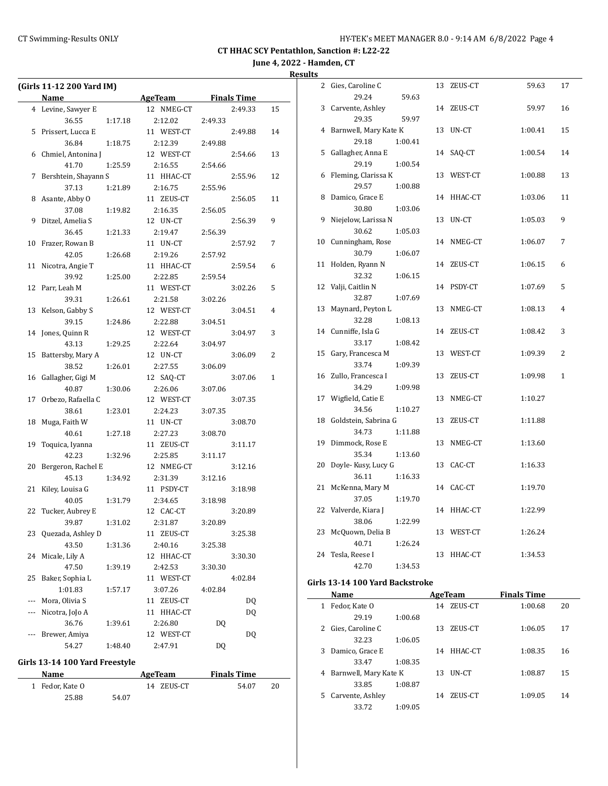**June 4, 2022 - Hamden, CT**

**Results**

|     | (Girls 11-12 200 Yard IM) |         |               |         |                    |    |
|-----|---------------------------|---------|---------------|---------|--------------------|----|
|     | Name                      |         | AgeTeam       |         | <b>Finals Time</b> |    |
|     | 4 Levine, Sawyer E        |         | 12 NMEG-CT    |         | 2:49.33            | 15 |
|     | 36.55                     | 1:17.18 | 2:12.02       | 2:49.33 |                    |    |
| 5   | Prissert, Lucca E         |         | 11 WEST-CT    |         | 2:49.88            | 14 |
|     | 36.84                     | 1:18.75 | 2:12.39       | 2:49.88 |                    |    |
| 6   | Chmiel, Antonina J        |         | 12 WEST-CT    |         | 2:54.66            | 13 |
|     | 41.70                     | 1:25.59 | 2:16.55       | 2:54.66 |                    |    |
| 7   | Bershtein, Shayann S      |         | 11 HHAC-CT    |         | 2:55.96            | 12 |
|     | 37.13                     | 1:21.89 | 2:16.75       | 2:55.96 |                    |    |
| 8   | Asante, Abby O            |         | 11 ZEUS-CT    |         | 2:56.05            | 11 |
|     | 37.08                     | 1:19.82 | 2:16.35       | 2:56.05 |                    |    |
| 9   | Ditzel, Amelia S          |         | 12 UN-CT      |         | 2:56.39            | 9  |
|     | 36.45                     | 1:21.33 | 2:19.47       | 2:56.39 |                    |    |
| 10  | Frazer, Rowan B           |         | 11 UN-CT      |         | 2:57.92            | 7  |
|     | 42.05                     | 1:26.68 | 2:19.26       | 2:57.92 |                    |    |
| 11  | Nicotra, Angie T          |         | 11 HHAC-CT    |         | 2:59.54            | 6  |
|     | 39.92                     | 1:25.00 | 2:22.85       | 2:59.54 |                    |    |
| 12  | Parr, Leah M              |         | 11 WEST-CT    |         | 3:02.26            | 5  |
|     | 39.31                     | 1:26.61 | 2:21.58       | 3:02.26 |                    |    |
| 13  | Kelson, Gabby S           |         | 12 WEST-CT    |         | 3:04.51            | 4  |
|     | 39.15                     | 1:24.86 | 2:22.88       | 3:04.51 |                    |    |
| 14  | Jones, Quinn R            |         | 12 WEST-CT    |         | 3:04.97            | 3  |
|     | 43.13                     | 1:29.25 | 2:22.64       | 3:04.97 |                    |    |
| 15  | Battersby, Mary A         |         | 12 UN-CT      |         | 3:06.09            | 2  |
|     | 38.52                     | 1:26.01 | 2:27.55       | 3:06.09 |                    |    |
| 16  | Gallagher, Gigi M         |         | 12 SAQ-CT     |         | 3:07.06            | 1  |
|     | 40.87                     | 1:30.06 | 2:26.06       | 3:07.06 |                    |    |
| 17  | Orbezo, Rafaella C        |         | 12 WEST-CT    |         | 3:07.35            |    |
|     | 38.61                     | 1:23.01 | 2:24.23       | 3:07.35 |                    |    |
| 18  | Muga, Faith W             |         | 11 UN-CT      |         | 3:08.70            |    |
|     | 40.61                     | 1:27.18 | 2:27.23       | 3:08.70 |                    |    |
| 19  | Toquica, Iyanna           |         | 11 ZEUS-CT    |         | 3:11.17            |    |
|     | 42.23                     | 1:32.96 | 2:25.85       | 3:11.17 |                    |    |
| 20  | Bergeron, Rachel E        |         | 12 NMEG-CT    |         | 3:12.16            |    |
|     | 45.13                     | 1:34.92 | 2:31.39       | 3:12.16 |                    |    |
| 21  | Kiley, Louisa G           |         | 11 PSDY-CT    |         | 3:18.98            |    |
|     | 40.05                     | 1:31.79 | 2:34.65       | 3:18.98 |                    |    |
| 22  | Tucker, Aubrey E          |         | 12 CAC-CT     |         | 3:20.89            |    |
|     | 39.87                     | 1:31.02 | 2:31.87       | 3:20.89 |                    |    |
| 23  | Quezada, Ashley D         |         | 11 ZEUS-CT    |         | 3:25.38            |    |
|     | 43.50                     | 1:31.36 | 2:40.16       | 3:25.38 |                    |    |
| 24  | Micale, Lily A            |         | 12 HHAC-CT    |         | 3:30.30            |    |
|     | 47.50                     | 1:39.19 | 2:42.53       | 3:30.30 |                    |    |
| 25  | Baker, Sophia L           |         | 11 WEST-CT    |         | 4:02.84            |    |
|     | 1:01.83                   | 1:57.17 | 3:07.26       | 4:02.84 |                    |    |
| --- | Mora, Olivia S            |         | ZEUS-CT<br>11 |         | DQ                 |    |
| --- | Nicotra, JoJo A           |         | 11 HHAC-CT    |         | DQ                 |    |
|     | 36.76                     | 1:39.61 | 2:26.80       | DQ      |                    |    |
|     | Brewer, Amiya             |         | 12 WEST-CT    |         | DQ                 |    |
|     | 54.27                     | 1:48.40 | 2:47.91       | DQ      |                    |    |

### **Girls 13-14 100 Yard Freestyle**

| Name            |       | <b>Finals Time</b><br>AgeTeam |       |    |  |
|-----------------|-------|-------------------------------|-------|----|--|
| 1 Fedor. Kate O |       | 14 ZEUS-CT                    | 54.07 | 20 |  |
| 25.88           | 54.07 |                               |       |    |  |

| $\overline{\phantom{a}}$ |                       |         |    |            |         |              |
|--------------------------|-----------------------|---------|----|------------|---------|--------------|
| 2                        | Gies, Caroline C      |         | 13 | ZEUS-CT    | 59.63   | 17           |
|                          | 29.24                 | 59.63   |    |            |         |              |
| 3                        | Carvente, Ashley      |         |    | 14 ZEUS-CT | 59.97   | 16           |
|                          | 29.35                 | 59.97   |    |            |         |              |
| 4                        | Barnwell, Mary Kate K |         |    | 13 UN-CT   | 1:00.41 | 15           |
|                          | 29.18                 | 1:00.41 |    |            |         |              |
| 5                        | Gallagher, Anna E     |         | 14 | SAQ-CT     | 1:00.54 | 14           |
|                          | 29.19                 | 1:00.54 |    |            |         |              |
| 6                        | Fleming, Clarissa K   |         |    | 13 WEST-CT | 1:00.88 | 13           |
|                          | 29.57                 | 1:00.88 |    |            |         |              |
| 8                        | Damico, Grace E       |         |    | 14 HHAC-CT | 1:03.06 | 11           |
|                          | 30.80                 | 1:03.06 |    |            |         |              |
| 9                        | Niejelow, Larissa N   |         |    | 13 UN-CT   | 1:05.03 | 9            |
|                          | 30.62                 | 1:05.03 |    |            |         |              |
| 10                       | Cunningham, Rose      |         | 14 | NMEG-CT    | 1:06.07 | 7            |
|                          | 30.79                 | 1:06.07 |    |            |         |              |
| 11                       | Holden, Ryann N       |         |    | 14 ZEUS-CT | 1:06.15 | 6            |
|                          | 32.32                 | 1:06.15 |    |            |         |              |
| 12                       | Valji, Caitlin N      |         |    | 14 PSDY-CT | 1:07.69 | 5            |
|                          | 32.87                 | 1:07.69 |    |            |         |              |
| 13                       | Maynard, Peyton L     |         | 13 | NMEG-CT    | 1:08.13 | 4            |
|                          | 32.28                 | 1:08.13 |    |            |         |              |
| 14                       | Cunniffe, Isla G      |         |    | 14 ZEUS-CT | 1:08.42 | 3            |
|                          | 33.17                 | 1:08.42 |    |            |         |              |
| 15                       | Gary, Francesca M     |         |    | 13 WEST-CT | 1:09.39 | 2            |
|                          | 33.74                 | 1:09.39 |    |            |         |              |
| 16                       | Zullo, Francesca I    |         | 13 | ZEUS-CT    | 1:09.98 | $\mathbf{1}$ |
|                          | 34.29                 | 1:09.98 |    |            |         |              |
| 17                       | Wigfield, Catie E     |         | 13 | NMEG-CT    | 1:10.27 |              |
|                          | 34.56                 | 1:10.27 |    |            |         |              |
| 18                       | Goldstein, Sabrina G  |         | 13 | ZEUS-CT    | 1:11.88 |              |
|                          | 34.73                 | 1:11.88 |    |            |         |              |
| 19                       | Dimmock, Rose E       |         | 13 | NMEG-CT    | 1:13.60 |              |
|                          | 35.34                 | 1:13.60 |    |            |         |              |
| 20                       | Doyle- Kusy, Lucy G   |         |    | 13 CAC-CT  | 1:16.33 |              |
|                          | 36.11                 | 1:16.33 |    |            |         |              |
| 21                       | McKenna, Mary M       |         |    | 14 CAC-CT  | 1:19.70 |              |
|                          | 37.05                 | 1:19.70 |    |            |         |              |
| 22                       | Valverde, Kiara J     |         | 14 | HHAC-CT    | 1:22.99 |              |
|                          | 38.06                 | 1:22.99 |    |            |         |              |
| 23                       | McQuown, Delia B      |         |    | 13 WEST-CT | 1:26.24 |              |
|                          | 40.71                 | 1:26.24 |    |            |         |              |
| 24                       | Tesla, Reese I        |         | 13 | HHAC-CT    | 1:34.53 |              |
|                          | 42.70                 | 1:34.53 |    |            |         |              |

### **Girls 13-14 100 Yard Backstroke**

| Name |                         |         | AgeTeam | <b>Finals Time</b> |         |    |
|------|-------------------------|---------|---------|--------------------|---------|----|
| 1    | Fedor, Kate O           |         | 14      | ZEUS-CT            | 1:00.68 | 20 |
|      | 29.19                   | 1:00.68 |         |                    |         |    |
| 2    | Gies, Caroline C        |         | 13      | ZEUS-CT            | 1:06.05 | 17 |
|      | 32.23                   | 1:06.05 |         |                    |         |    |
| 3    | Damico, Grace E         |         | 14      | HHAC-CT            | 1:08.35 | 16 |
|      | 33.47                   | 1:08.35 |         |                    |         |    |
|      | 4 Barnwell, Mary Kate K |         | 13      | UN-CT              | 1:08.87 | 15 |
|      | 33.85                   | 1:08.87 |         |                    |         |    |
| 5.   | Carvente, Ashley        |         | 14      | ZEUS-CT            | 1:09.05 | 14 |
|      | 33.72                   | 1:09.05 |         |                    |         |    |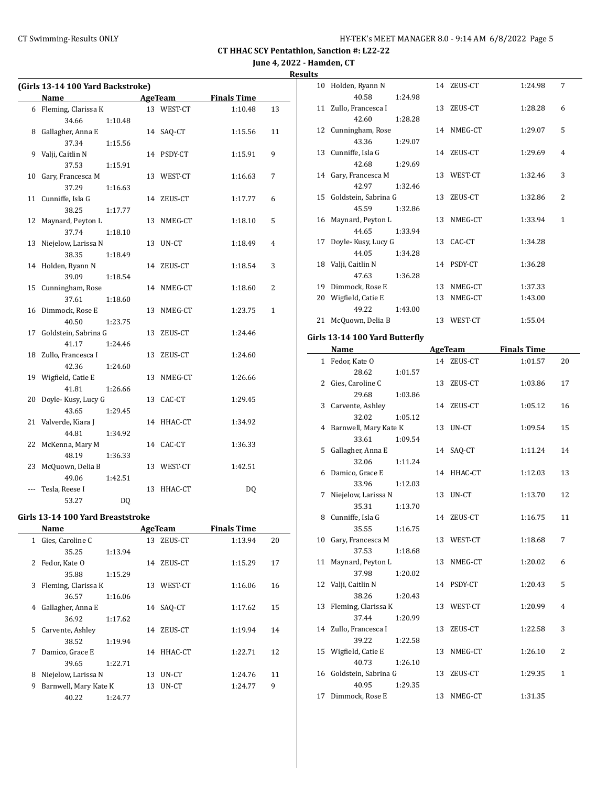# **June 4, 2022 - Hamden, CT Results**

|     | (Girls 13-14 100 Yard Backstroke) |                |    |                |                    |              |
|-----|-----------------------------------|----------------|----|----------------|--------------------|--------------|
|     | Name                              |                |    | <b>AgeTeam</b> | <b>Finals Time</b> |              |
|     | 6 Fleming, Clarissa K             |                |    | 13 WEST-CT     | 1:10.48            | 13           |
|     | 34.66                             | 1:10.48        |    |                |                    |              |
| 8   | Gallagher, Anna E                 |                |    | 14 SAQ-CT      | 1:15.56            | 11           |
|     | 37.34                             | 1:15.56        |    |                |                    |              |
| 9   | Valji, Caitlin N                  |                |    | 14 PSDY-CT     | 1:15.91            | 9            |
|     | 37.53                             | 1:15.91        |    |                |                    |              |
| 10  | Gary, Francesca M                 |                |    | 13 WEST-CT     | 1:16.63            | 7            |
|     | 37.29                             | 1:16.63        |    |                |                    |              |
| 11  | Cunniffe, Isla G                  |                |    | 14 ZEUS-CT     | 1:17.77            | 6            |
|     | 38.25                             | 1:17.77        |    |                |                    |              |
| 12  | Maynard, Peyton L                 |                |    | 13 NMEG-CT     | 1:18.10            | 5            |
|     | 37.74                             | 1:18.10        |    |                |                    |              |
| 13  | Niejelow, Larissa N               |                | 13 | UN-CT          | 1:18.49            | 4            |
|     | 38.35                             | 1:18.49        |    |                |                    |              |
|     | 14 Holden, Ryann N                |                |    | 14 ZEUS-CT     | 1:18.54            | 3            |
|     | 39.09                             | 1:18.54        |    |                |                    |              |
| 15  | Cunningham, Rose                  |                |    | 14 NMEG-CT     | 1:18.60            | 2            |
|     | 37.61                             | 1:18.60        |    |                |                    |              |
|     | 16 Dimmock, Rose E                |                |    | 13 NMEG-CT     | 1:23.75            | $\mathbf{1}$ |
|     | 40.50                             | 1:23.75        |    |                |                    |              |
| 17  | Goldstein, Sabrina G              |                |    | 13 ZEUS-CT     | 1:24.46            |              |
|     | 41.17                             | 1:24.46        |    |                |                    |              |
|     | 18 Zullo, Francesca I             |                | 13 | ZEUS-CT        | 1:24.60            |              |
|     | 42.36                             | 1:24.60        |    |                |                    |              |
|     | 19 Wigfield, Catie E              |                | 13 | NMEG-CT        | 1:26.66            |              |
|     | 41.81                             | 1:26.66        |    |                |                    |              |
| 20  | Doyle-Kusy, Lucy G                |                |    | 13 CAC-CT      | 1:29.45            |              |
|     | 43.65                             | 1:29.45        |    |                |                    |              |
|     | 21 Valverde, Kiara J              |                |    | 14 HHAC-CT     | 1:34.92            |              |
|     | 44.81                             | 1:34.92        |    |                |                    |              |
| 22  | McKenna, Mary M                   |                |    | 14 CAC-CT      | 1:36.33            |              |
|     | 48.19                             | 1:36.33        |    |                |                    |              |
| 23  | McQuown, Delia B                  |                |    | 13 WEST-CT     | 1:42.51            |              |
|     | 49.06                             | 1:42.51        |    |                |                    |              |
| --- | Tesla, Reese I                    |                |    | 13 HHAC-CT     | DQ                 |              |
|     | 53.27                             | D <sub>O</sub> |    |                |                    |              |
|     |                                   |                |    |                |                    |              |

### **Girls 13-14 100 Yard Breaststroke**

|    | Name                  |         |    | AgeTeam    | <b>Finals Time</b> |    |
|----|-----------------------|---------|----|------------|--------------------|----|
| 1  | Gies, Caroline C      |         | 13 | ZEUS-CT    | 1:13.94            | 20 |
|    | 35.25                 | 1:13.94 |    |            |                    |    |
| 2  | Fedor, Kate O         |         | 14 | ZEUS-CT    | 1:15.29            | 17 |
|    | 35.88                 | 1:15.29 |    |            |                    |    |
| 3  | Fleming, Clarissa K   |         | 13 | WEST-CT    | 1:16.06            | 16 |
|    | 36.57                 | 1:16.06 |    |            |                    |    |
| 4  | Gallagher, Anna E     |         | 14 | SAO-CT     | 1:17.62            | 15 |
|    | 36.92                 | 1:17.62 |    |            |                    |    |
| 5. | Carvente, Ashley      |         | 14 | ZEUS-CT    | 1:19.94            | 14 |
|    | 38.52                 | 1:19.94 |    |            |                    |    |
| 7  | Damico, Grace E       |         |    | 14 HHAC-CT | 1:22.71            | 12 |
|    | 39.65                 | 1:22.71 |    |            |                    |    |
| 8  | Niejelow, Larissa N   |         | 13 | UN-CT      | 1:24.76            | 11 |
| 9  | Barnwell, Mary Kate K |         | 13 | UN-CT      | 1:24.77            | 9  |
|    | 40.22                 | 1:24.77 |    |            |                    |    |

| د  |                         |         |    |            |         |              |
|----|-------------------------|---------|----|------------|---------|--------------|
| 10 | Holden, Ryann N         |         |    | 14 ZEUS-CT | 1:24.98 | 7            |
|    | 40.58                   | 1:24.98 |    |            |         |              |
|    | 11 Zullo, Francesca I   |         |    | 13 ZEUS-CT | 1:28.28 | 6            |
|    | 42.60                   | 1:28.28 |    |            |         |              |
|    | 12 Cunningham, Rose     |         |    | 14 NMEG-CT | 1:29.07 | 5            |
|    | 43.36                   | 1:29.07 |    |            |         |              |
|    | 13 Cunniffe, Isla G     |         |    | 14 ZEUS-CT | 1:29.69 | 4            |
|    | 42.68                   | 1:29.69 |    |            |         |              |
|    | 14 Gary, Francesca M    |         |    | 13 WEST-CT | 1:32.46 | 3            |
|    | 42.97                   | 1:32.46 |    |            |         |              |
|    | 15 Goldstein, Sabrina G |         |    | 13 ZEUS-CT | 1:32.86 | 2            |
|    | 45.59                   | 1:32.86 |    |            |         |              |
|    | 16 Maynard, Peyton L    |         |    | 13 NMEG-CT | 1:33.94 | $\mathbf{1}$ |
|    | 44.65                   | 1:33.94 |    |            |         |              |
|    | 17 Doyle-Kusy, Lucy G   |         |    | 13 CAC-CT  | 1:34.28 |              |
|    | 44.05                   | 1:34.28 |    |            |         |              |
|    | 18 Valji, Caitlin N     |         |    | 14 PSDY-CT | 1:36.28 |              |
|    | 47.63                   | 1:36.28 |    |            |         |              |
| 19 | Dimmock, Rose E         |         | 13 | NMEG-CT    | 1:37.33 |              |
| 20 | Wigfield, Catie E       |         | 13 | NMEG-CT    | 1:43.00 |              |
|    | 49.22                   | 1:43.00 |    |            |         |              |
| 21 | McQuown, Delia B        |         | 13 | WEST-CT    | 1:55.04 |              |
|    |                         |         |    |            |         |              |

# **Girls 13-14 100 Yard Butterfly**

|   | <b>Name</b>             | <b>AgeTeam</b> |            | <b>Finals Time</b> |                |
|---|-------------------------|----------------|------------|--------------------|----------------|
|   | 1 Fedor, Kate O         |                | 14 ZEUS-CT | 1:01.57            | 20             |
|   | 28.62<br>1:01.57        |                |            |                    |                |
|   | 2 Gies, Caroline C      |                | 13 ZEUS-CT | 1:03.86            | 17             |
|   | 29.68<br>1:03.86        |                |            |                    |                |
|   | 3 Carvente, Ashley      |                | 14 ZEUS-CT | 1:05.12            | 16             |
|   | 32.02<br>1:05.12        |                |            |                    |                |
|   | 4 Barnwell, Mary Kate K |                | 13 UN-CT   | 1:09.54            | 15             |
|   | 33.61<br>1:09.54        |                |            |                    |                |
|   | 5 Gallagher, Anna E     |                | 14 SAQ-CT  | 1:11.24            | 14             |
|   | 32.06<br>1:11.24        |                |            |                    |                |
|   | 6 Damico, Grace E       |                | 14 HHAC-CT | 1:12.03            | 13             |
|   | 33.96<br>1:12.03        |                |            |                    |                |
| 7 | Niejelow, Larissa N     |                | 13 UN-CT   | 1:13.70            | 12             |
|   | 35.31<br>1:13.70        |                |            |                    |                |
|   | 8 Cunniffe, Isla G      |                | 14 ZEUS-CT | 1:16.75            | 11             |
|   | 35.55<br>1:16.75        |                |            |                    |                |
|   | 10 Gary, Francesca M    |                | 13 WEST-CT | 1:18.68            | 7              |
|   | 37.53<br>1:18.68        |                |            |                    |                |
|   | 11 Maynard, Peyton L    | 13             | NMEG-CT    | 1:20.02            | 6              |
|   | 37.98<br>1:20.02        |                |            |                    |                |
|   | 12 Valji, Caitlin N     |                | 14 PSDY-CT | 1:20.43            | 5              |
|   | 38.26<br>1:20.43        |                |            |                    |                |
|   | 13 Fleming, Clarissa K  |                | 13 WEST-CT | 1:20.99            | 4              |
|   | 37.44<br>1:20.99        |                |            |                    |                |
|   | 14 Zullo, Francesca I   | 13             | ZEUS-CT    | 1:22.58            | 3              |
|   | 39.22<br>1:22.58        |                |            |                    |                |
|   | 15 Wigfield, Catie E    | 13             | NMEG-CT    | 1:26.10            | $\overline{2}$ |
|   | 40.73<br>1:26.10        |                |            |                    |                |
|   | 16 Goldstein, Sabrina G |                | 13 ZEUS-CT | 1:29.35            | $\mathbf{1}$   |
|   | 40.95<br>1:29.35        |                |            |                    |                |
|   | 17 Dimmock, Rose E      |                | 13 NMEG-CT | 1:31.35            |                |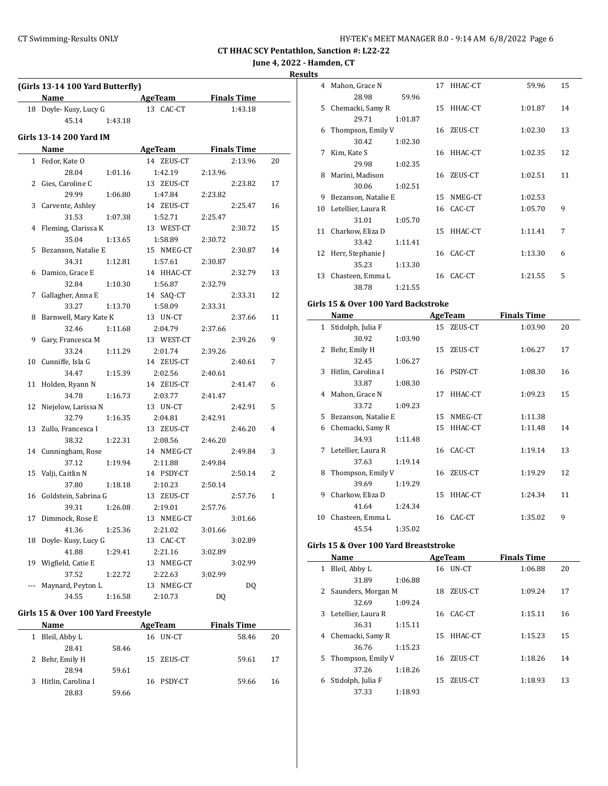**June 4, 2022 - Hamden, CT**

### **Results**

|     | (Girls 13-14 100 Yard Butterfly) |                          |                    |              |
|-----|----------------------------------|--------------------------|--------------------|--------------|
|     | Name                             | <b>Example 2</b> AgeTeam | <b>Finals Time</b> |              |
|     | 18 Doyle-Kusy, Lucy G            | 13 CAC-CT                | 1:43.18            |              |
|     | 45.14<br>1:43.18                 |                          |                    |              |
|     | Girls 13-14 200 Yard IM          |                          |                    |              |
|     | Name                             | AgeTeam                  | <b>Finals Time</b> |              |
| 1   | Fedor, Kate O                    | 14 ZEUS-CT               | 2:13.96            | 20           |
|     | 28.04                            | 1:42.19                  |                    |              |
|     | 1:01.16<br>2 Gies, Caroline C    | 13 ZEUS-CT               | 2:13.96<br>2:23.82 | 17           |
|     | 29.99                            |                          |                    |              |
|     | 1:06.80                          | 1:47.84                  | 2:23.82            |              |
| 3   | Carvente, Ashley                 | 14 ZEUS-CT               | 2:25.47            | 16           |
|     | 31.53<br>1:07.38                 | 1:52.71                  | 2:25.47            |              |
| 4   | Fleming, Clarissa K              | 13 WEST-CT               | 2:30.72            | 15           |
|     | 35.04<br>1:13.65                 | 1:58.89                  | 2:30.72            |              |
| 5   | Bezanson, Natalie E              | 15 NMEG-CT               | 2:30.87            | 14           |
|     | 34.31<br>1:12.81                 | 1:57.61                  | 2:30.87            |              |
| 6   | Damico, Grace E                  | 14 HHAC-CT               | 2:32.79            | 13           |
|     | 32.84<br>1:10.30                 | 1:56.87                  | 2:32.79            |              |
| 7   | Gallagher, Anna E                | 14 SAQ-CT                | 2:33.31            | 12           |
|     | 33.27<br>1:13.70                 | 1:58.09                  | 2:33.31            |              |
| 8   | Barnwell, Mary Kate K            | 13 UN-CT                 | 2:37.66            | 11           |
|     | 32.46<br>1:11.68                 | 2:04.79                  | 2:37.66            |              |
| 9   | Gary, Francesca M                | 13 WEST-CT               | 2:39.26            | 9            |
|     | 33.24<br>1:11.29                 | 2:01.74                  | 2:39.26            |              |
|     | 10 Cunniffe, Isla G              | 14 ZEUS-CT               | 2:40.61            | 7            |
|     | 34.47<br>1:15.39                 | 2:02.56                  | 2:40.61            |              |
| 11  | Holden, Ryann N                  | 14 ZEUS-CT               | 2:41.47            | 6            |
|     | 34.78<br>1:16.73                 | 2:03.77                  | 2:41.47            |              |
| 12  | Niejelow, Larissa N              | 13 UN-CT                 | 2:42.91            | 5            |
|     | 32.79<br>1:16.35                 | 2:04.81                  | 2:42.91            |              |
| 13  | Zullo, Francesca I               | 13 ZEUS-CT               | 2:46.20            | 4            |
|     | 38.32<br>1:22.31                 | 2:08.56                  | 2:46.20            |              |
|     | 14 Cunningham, Rose              | 14 NMEG-CT               | 2:49.84            | 3            |
|     | 37.12<br>1:19.94                 | 2:11.88                  | 2:49.84            |              |
| 15  | Valji, Caitlin N                 | 14 PSDY-CT               | 2:50.14            | 2            |
|     | 37.80<br>1:18.18                 | 2:10.23                  | 2:50.14            |              |
| 16  | Goldstein, Sabrina G             | 13 ZEUS-CT               | 2:57.76            | $\mathbf{1}$ |
|     | 39.31<br>1:26.08                 | 2:19.01                  | 2:57.76            |              |
| 17  | Dimmock, Rose E                  | 13 NMEG-CT               | 3:01.66            |              |
|     |                                  |                          |                    |              |
|     | 41.36<br>1:25.36                 | 2:21.02                  | 3:01.66            |              |
| 18  | Doyle-Kusy, Lucy G               | 13 CAC-CT                | 3:02.89            |              |
|     | 41.88<br>1:29.41                 | 2:21.16                  | 3:02.89            |              |
| 19  | Wigfield, Catie E                | 13 NMEG-CT               | 3:02.99            |              |
|     | 37.52<br>1:22.72                 | 2:22.63                  | 3:02.99            |              |
| --- | Maynard, Peyton L                | 13 NMEG-CT               | DQ                 |              |
|     | 34.55<br>1:16.58                 | 2:10.73                  | DQ                 |              |

### **Girls 15 & Over 100 Yard Freestyle**

|   | <b>Name</b>          |       | AgeTeam    | <b>Finals Time</b> |    |
|---|----------------------|-------|------------|--------------------|----|
| 1 | Bleil, Abby L        |       | 16 UN-CT   | 58.46              | 20 |
|   | 28.41                | 58.46 |            |                    |    |
|   | 2 Behr, Emily H      |       | 15 ZEUS-CT | 59.61              | 17 |
|   | 28.94                | 59.61 |            |                    |    |
|   | 3 Hitlin, Carolina I |       | 16 PSDY-CT | 59.66              | 16 |
|   | 28.83                | 59.66 |            |                    |    |

| .э |                     |         |    |            |         |    |  |
|----|---------------------|---------|----|------------|---------|----|--|
| 4  | Mahon, Grace N      |         |    | 17 HHAC-CT | 59.96   | 15 |  |
|    | 28.98               | 59.96   |    |            |         |    |  |
| 5. | Chemacki, Samy R    |         |    | 15 HHAC-CT | 1:01.87 | 14 |  |
|    | 29.71               | 1:01.87 |    |            |         |    |  |
| 6  | Thompson, Emily V   |         |    | 16 ZEUS-CT | 1:02.30 | 13 |  |
|    | 30.42               | 1:02.30 |    |            |         |    |  |
| 7  | Kim, Kate S         |         |    | 16 HHAC-CT | 1:02.35 | 12 |  |
|    | 29.98               | 1:02.35 |    |            |         |    |  |
| 8  | Marini, Madison     |         | 16 | ZEUS-CT    | 1:02.51 | 11 |  |
|    | 30.06               | 1:02.51 |    |            |         |    |  |
| 9  | Bezanson, Natalie E |         | 15 | NMEG-CT    | 1:02.53 |    |  |
| 10 | Letellier, Laura R  |         |    | 16 CAC-CT  | 1:05.70 | 9  |  |
|    | 31.01               | 1:05.70 |    |            |         |    |  |
| 11 | Charkow, Eliza D    |         |    | 15 HHAC-CT | 1:11.41 | 7  |  |
|    | 33.42               | 1:11.41 |    |            |         |    |  |
| 12 | Herr, Stephanie J   |         |    | 16 CAC-CT  | 1:13.30 | 6  |  |
|    | 35.23               | 1:13.30 |    |            |         |    |  |
| 13 | Chasteen, Emma L    |         |    | 16 CAC-CT  | 1:21.55 | 5  |  |
|    | 38.78               | 1:21.55 |    |            |         |    |  |

#### **Girls 15 & Over 100 Yard Backstroke**

|    | Name                 |         |    | AgeTeam    | <b>Finals Time</b> |    |
|----|----------------------|---------|----|------------|--------------------|----|
|    | 1 Stidolph, Julia F  |         |    | 15 ZEUS-CT | 1:03.90            | 20 |
|    | 30.92                | 1:03.90 |    |            |                    |    |
| 2  | Behr, Emily H        |         | 15 | ZEUS-CT    | 1:06.27            | 17 |
|    | 32.45                | 1:06.27 |    |            |                    |    |
| 3  | Hitlin, Carolina I   |         |    | 16 PSDY-CT | 1:08.30            | 16 |
|    | 33.87                | 1:08.30 |    |            |                    |    |
|    | 4 Mahon, Grace N     |         | 17 | HHAC-CT    | 1:09.23            | 15 |
|    | 33.72                | 1:09.23 |    |            |                    |    |
| 5. | Bezanson, Natalie E  |         | 15 | NMEG-CT    | 1:11.38            |    |
| 6  | Chemacki, Samy R     |         | 15 | HHAC-CT    | 1:11.48            | 14 |
|    | 34.93                | 1:11.48 |    |            |                    |    |
|    | 7 Letellier, Laura R |         |    | 16 CAC-CT  | 1:19.14            | 13 |
|    | 37.63                | 1:19.14 |    |            |                    |    |
| 8  | Thompson, Emily V    |         |    | 16 ZEUS-CT | 1:19.29            | 12 |
|    | 39.69                | 1:19.29 |    |            |                    |    |
| 9  | Charkow, Eliza D     |         | 15 | HHAC-CT    | 1:24.34            | 11 |
|    | 41.64                | 1:24.34 |    |            |                    |    |
| 10 | Chasteen, Emma L     |         |    | 16 CAC-CT  | 1:35.02            | 9  |
|    | 45.54                | 1:35.02 |    |            |                    |    |

#### **Girls 15 & Over 100 Yard Breaststroke**

|    | Name                 |         |    | AgeTeam         | <b>Finals Time</b> |    |
|----|----------------------|---------|----|-----------------|--------------------|----|
| 1  | Bleil, Abby L        |         |    | 16 <b>UN-CT</b> | 1:06.88            | 20 |
|    | 31.89                | 1:06.88 |    |                 |                    |    |
|    | 2 Saunders, Morgan M |         | 18 | ZEUS-CT         | 1:09.24            | 17 |
|    | 32.69                | 1:09.24 |    |                 |                    |    |
|    | 3 Letellier, Laura R |         |    | 16 CAC-CT       | 1:15.11            | 16 |
|    | 36.31                | 1:15.11 |    |                 |                    |    |
| 4  | Chemacki, Samy R     |         | 15 | HHAC-CT         | 1:15.23            | 15 |
|    | 36.76                | 1:15.23 |    |                 |                    |    |
| 5. | Thompson, Emily V    |         | 16 | ZEUS-CT         | 1:18.26            | 14 |
|    | 37.26                | 1:18.26 |    |                 |                    |    |
| 6  | Stidolph, Julia F    |         | 15 | ZEUS-CT         | 1:18.93            | 13 |
|    | 37.33                | 1:18.93 |    |                 |                    |    |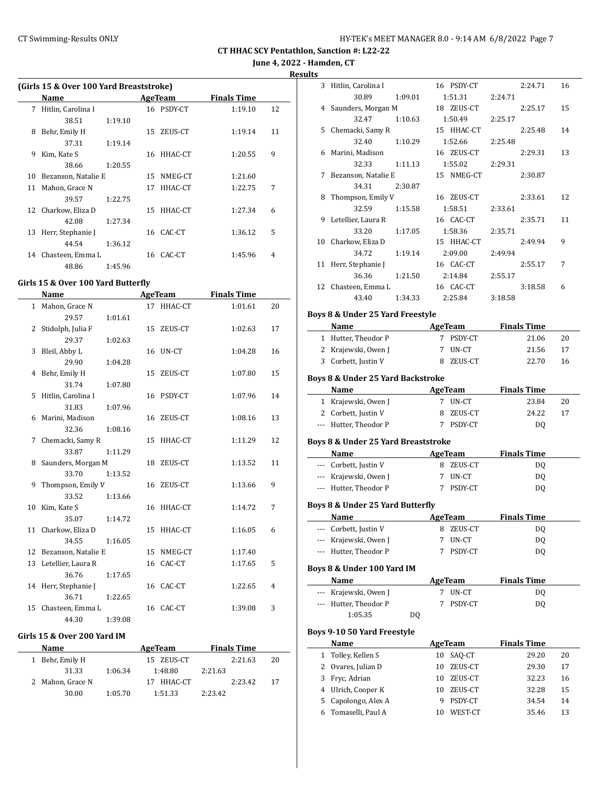**June 4, 2022 - Hamden, CT**

**Results**

|  |  |  | (Girls 15 & Over 100 Yard Breaststroke) |
|--|--|--|-----------------------------------------|
|--|--|--|-----------------------------------------|

|    | Name                |         |    | <b>AgeTeam</b> | <b>Finals Time</b> |    |
|----|---------------------|---------|----|----------------|--------------------|----|
| 7  | Hitlin, Carolina I  |         |    | 16 PSDY-CT     | 1:19.10            | 12 |
|    | 38.51               | 1:19.10 |    |                |                    |    |
| 8  | Behr, Emily H       |         | 15 | ZEUS-CT        | 1:19.14            | 11 |
|    | 37.31               | 1:19.14 |    |                |                    |    |
| 9  | Kim, Kate S         |         |    | 16 HHAC-CT     | 1:20.55            | 9  |
|    | 38.66               | 1:20.55 |    |                |                    |    |
| 10 | Bezanson, Natalie E |         | 15 | NMEG-CT        | 1:21.60            |    |
| 11 | Mahon, Grace N      |         | 17 | HHAC-CT        | 1:22.75            | 7  |
|    | 39.57               | 1:22.75 |    |                |                    |    |
| 12 | Charkow, Eliza D    |         |    | 15 HHAC-CT     | 1:27.34            | 6  |
|    | 42.08               | 1:27.34 |    |                |                    |    |
| 13 | Herr, Stephanie J   |         |    | 16 CAC-CT      | 1:36.12            | 5  |
|    | 44.54               | 1:36.12 |    |                |                    |    |
| 14 | Chasteen, Emma L    |         | 16 | CAC-CT         | 1:45.96            | 4  |
|    | 48.86               | 1:45.96 |    |                |                    |    |

#### **Girls 15 & Over 100 Yard Butterfly**

|    | Name                   |         |    | <b>AgeTeam</b> | <b>Finals Time</b> |    |
|----|------------------------|---------|----|----------------|--------------------|----|
|    | 1 Mahon, Grace N       |         |    | 17 HHAC-CT     | 1:01.61            | 20 |
|    | 29.57                  | 1:01.61 |    |                |                    |    |
| 2  | Stidolph, Julia F      |         |    | 15 ZEUS-CT     | 1:02.63            | 17 |
|    | 29.37                  | 1:02.63 |    |                |                    |    |
| 3  | Bleil, Abby L          |         |    | 16 UN-CT       | 1:04.28            | 16 |
|    | 29.90                  | 1:04.28 |    |                |                    |    |
|    | 4 Behr, Emily H        |         |    | 15 ZEUS-CT     | 1:07.80            | 15 |
|    | 31.74                  | 1:07.80 |    |                |                    |    |
| 5  | Hitlin, Carolina I     |         |    | 16 PSDY-CT     | 1:07.96            | 14 |
|    | 31.83                  | 1:07.96 |    |                |                    |    |
|    | 6 Marini, Madison      |         |    | 16 ZEUS-CT     | 1:08.16            | 13 |
|    | 32.36                  | 1:08.16 |    |                |                    |    |
| 7  | Chemacki, Samy R       |         |    | 15 HHAC-CT     | 1:11.29            | 12 |
|    | 33.87                  | 1:11.29 |    |                |                    |    |
| 8  | Saunders, Morgan M     |         |    | 18 ZEUS-CT     | 1:13.52            | 11 |
|    | 33.70                  | 1:13.52 |    |                |                    |    |
| 9  | Thompson, Emily V      |         |    | 16 ZEUS-CT     | 1:13.66            | 9  |
|    | 33.52                  | 1:13.66 |    |                |                    |    |
| 10 | Kim, Kate S            |         |    | 16 HHAC-CT     | 1:14.72            | 7  |
|    | 35.07                  | 1:14.72 |    |                |                    |    |
|    | 11 Charkow, Eliza D    |         | 15 | HHAC-CT        | 1:16.05            | 6  |
|    | 34.55                  | 1:16.05 |    |                |                    |    |
|    | 12 Bezanson, Natalie E |         |    | 15 NMEG-CT     | 1:17.40            |    |
|    | 13 Letellier, Laura R  |         |    | 16 CAC-CT      | 1:17.65            | 5  |
|    | 36.76                  | 1:17.65 |    |                |                    |    |
|    | 14 Herr, Stephanie J   |         |    | 16 CAC-CT      | 1:22.65            | 4  |
|    | 36.71                  | 1:22.65 |    |                |                    |    |
| 15 | Chasteen, Emma L       |         |    | 16 CAC-CT      | 1:39.08            | 3  |
|    | 44.30                  | 1:39.08 |    |                |                    |    |

#### **Girls 15 & Over 200 Yard IM**

| Name             |         | AgeTeam    |         | <b>Finals Time</b> |    |
|------------------|---------|------------|---------|--------------------|----|
| 1 Behr, Emily H  |         | 15 ZEUS-CT |         | 2:21.63            | 20 |
| 31.33            | 1:06.34 | 1:48.80    | 2:21.63 |                    |    |
| 2 Mahon, Grace N |         | HHAC-CT    |         | 2:23.42            | 17 |
| 30.00            | 1:05.70 | 1:51.33    | 2:23.42 |                    |    |

| 3            | Hitlin, Carolina I                     |         |          | 16 PSDY-CT        |         | 2:24.71            | 16       |
|--------------|----------------------------------------|---------|----------|-------------------|---------|--------------------|----------|
|              | 30.89                                  | 1:09.01 |          | 1:51.31           | 2:24.71 |                    |          |
| 4            | Saunders, Morgan M                     |         |          | 18 ZEUS-CT        |         | 2:25.17            | 15       |
|              | 32.47                                  | 1:10.63 |          | 1:50.49           | 2:25.17 |                    |          |
|              | 5 Chemacki, Samy R                     |         |          | 15 HHAC-CT        |         | 2:25.48            | 14       |
|              | 32.40                                  | 1:10.29 |          | 1:52.66           | 2:25.48 |                    |          |
| 6            | Marini, Madison                        |         |          | 16 ZEUS-CT        |         | 2:29.31            | 13       |
|              | 32.33                                  | 1:11.13 |          | 1:55.02           | 2:29.31 |                    |          |
| 7            | Bezanson, Natalie E                    |         |          | 15 NMEG-CT        |         | 2:30.87            |          |
|              | 34.31                                  | 2:30.87 |          |                   |         |                    |          |
| 8            | Thompson, Emily V                      |         |          | 16 ZEUS-CT        |         | 2:33.61            | 12       |
|              | 32.59                                  | 1:15.58 |          | 1:58.51           | 2:33.61 |                    |          |
| 9            | Letellier, Laura R                     |         |          | 16 CAC-CT         |         | 2:35.71            | 11       |
|              | 33.20                                  | 1:17.05 |          | 1:58.36           | 2:35.71 |                    |          |
| 10           | Charkow, Eliza D                       |         |          | 15 HHAC-CT        |         | 2:49.94            | 9        |
|              | 34.72                                  | 1:19.14 |          | 2:09.00           | 2:49.94 |                    |          |
|              | 11 Herr, Stephanie J                   |         |          | 16 CAC-CT         |         | 2:55.17            | 7        |
|              | 36.36                                  | 1:21.50 |          | 2:14.84           | 2:55.17 |                    |          |
|              | 12 Chasteen, Emma L                    |         |          | 16 CAC-CT         |         | 3:18.58            | 6        |
|              | 43.40                                  | 1:34.33 |          | 2:25.84           | 3:18.58 |                    |          |
|              | Boys 8 & Under 25 Yard Freestyle       |         |          |                   |         |                    |          |
|              | Name                                   |         |          | AgeTeam           |         | <b>Finals Time</b> |          |
|              | 1 Hutter, Theodor P                    |         |          | 7 PSDY-CT         |         | 21.06              | 20       |
|              | 2 Krajewski, Owen J                    |         |          | 7 UN-CT           |         |                    | 17       |
|              | 3 Corbett, Justin V                    |         |          | 8 ZEUS-CT         |         | 21.56<br>22.70     | 16       |
|              |                                        |         |          |                   |         |                    |          |
|              |                                        |         |          |                   |         |                    |          |
|              | Boys 8 & Under 25 Yard Backstroke      |         |          |                   |         |                    |          |
|              | Name                                   |         |          | AgeTeam           |         | <b>Finals Time</b> |          |
|              | 1 Krajewski, Owen J                    |         |          | 7 UN-CT           |         | 23.84              | 20       |
|              | 2 Corbett, Justin V                    |         | 8        | ZEUS-CT           |         | 24.22              | 17       |
|              | --- Hutter, Theodor P                  |         |          | 7 PSDY-CT         |         | DQ                 |          |
|              |                                        |         |          |                   |         |                    |          |
|              | Boys 8 & Under 25 Yard Breaststroke    |         |          |                   |         |                    |          |
|              | Name                                   |         |          | <b>AgeTeam</b>    |         | <b>Finals Time</b> |          |
|              | --- Corbett, Justin V                  |         |          | 8 ZEUS-CT         |         | <b>DQ</b>          |          |
|              | --- Krajewski, Owen J                  |         |          | 7 UN-CT           |         | DQ                 |          |
|              | --- Hutter, Theodor P                  |         |          | 7 PSDY-CT         |         | DQ                 |          |
|              | Boys 8 & Under 25 Yard Butterfly       |         |          |                   |         |                    |          |
|              | Name                                   |         |          | AgeTeam           |         | <b>Finals Time</b> |          |
|              | Corbett, Justin V                      |         | 8        | ZEUS-CT           |         | DQ                 |          |
|              | Krajewski, Owen J                      |         | 7        | UN-CT             |         | DQ                 |          |
|              | Hutter, Theodor P                      |         | 7        | PSDY-CT           |         | DQ                 |          |
|              | Boys 8 & Under 100 Yard IM             |         |          |                   |         |                    |          |
|              | Name                                   |         |          | <b>AgeTeam</b>    |         | <b>Finals Time</b> |          |
|              | Krajewski, Owen J                      |         | 7        | UN-CT             |         | DQ                 |          |
|              | Hutter, Theodor P                      |         | 7        | PSDY-CT           |         | <b>DQ</b>          |          |
|              | 1:05.35                                | DQ      |          |                   |         |                    |          |
|              |                                        |         |          |                   |         |                    |          |
|              | Boys 9-10 50 Yard Freestyle            |         |          |                   |         |                    |          |
|              | Name                                   |         |          | AgeTeam           |         | <b>Finals Time</b> |          |
| $\mathbf{1}$ | Tolley, Kellen S<br>2 Ovares, Julian D |         | 10<br>10 | SAQ-CT<br>ZEUS-CT |         | 29.20<br>29.30     | 20<br>17 |

4 Ulrich, Cooper K 10 ZEUS-CT 32.28 15 5 Capolongo, Alex A 9 PSDY-CT 34.54 14 6 Tomaselli, Paul A 10 WEST-CT 35.46 13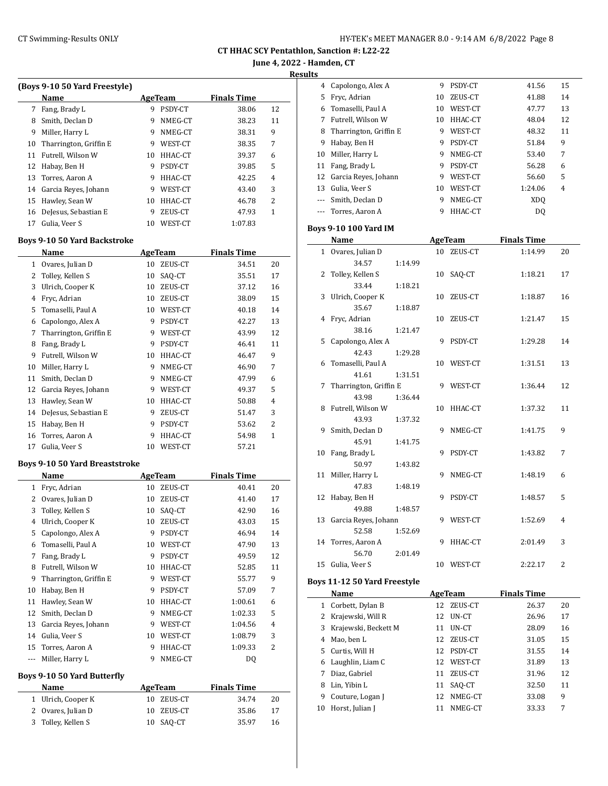**June 4, 2022 - Hamden, CT Results**

|           | (Boys 9-10 50 Yard Freestyle)<br>Name |        | <b>AgeTeam</b>     | <b>Finals Time</b> |    |
|-----------|---------------------------------------|--------|--------------------|--------------------|----|
|           | 7 Fang, Brady L                       | 9      | PSDY-CT            | 38.06              | 12 |
|           | 8 Smith, Declan D                     | 9      | NMEG-CT            | 38.23              | 11 |
|           | 9 Miller, Harry L                     | 9      | NMEG-CT            | 38.31              | 9  |
| 10        | Tharrington, Griffin E                | 9      | WEST-CT            | 38.35              | 7  |
| 11        | Futrell, Wilson W                     | 10     | HHAC-CT            | 39.37              | 6  |
| 12        | Habay, Ben H                          | 9      | PSDY-CT            | 39.85              | 5  |
| 13        | Torres, Aaron A                       | 9      | HHAC-CT            | 42.25              | 4  |
|           | 14 Garcia Reyes, Johann               | 9      | WEST-CT            | 43.40              | 3  |
|           | 15 Hawley, Sean W                     | 10     | HHAC-CT            | 46.78              | 2  |
| 16        | DeJesus, Sebastian E                  | 9      | ZEUS-CT            | 47.93              | 1  |
| 17        | Gulia, Veer S                         | 10     | WEST-CT            | 1:07.83            |    |
|           | <b>Boys 9-10 50 Yard Backstroke</b>   |        |                    |                    |    |
|           | Name                                  |        | <b>AgeTeam</b>     | <b>Finals Time</b> |    |
|           | 1 Ovares, Julian D                    | 10     | ZEUS-CT            | 34.51              | 20 |
| 2         | Tolley, Kellen S                      | 10     | SAQ-CT             | 35.51              | 17 |
| 3         | Ulrich, Cooper K                      | 10     | ZEUS-CT            | 37.12              | 16 |
| 4         | Fryc, Adrian                          | 10     | ZEUS-CT            | 38.09              | 15 |
| 5         | Tomaselli, Paul A                     | 10     | WEST-CT            | 40.18              | 14 |
| 6         | Capolongo, Alex A                     | 9      | PSDY-CT            | 42.27              | 13 |
| 7         | Tharrington, Griffin E                | 9      | WEST-CT            | 43.99              | 12 |
| 8         | Fang, Brady L                         | 9      | PSDY-CT            | 46.41              | 11 |
| 9         | Futrell, Wilson W                     | 10     | HHAC-CT            | 46.47              | 9  |
| 10        | Miller, Harry L                       | 9      | NMEG-CT            | 46.90              | 7  |
| 11        | Smith, Declan D                       | 9      | NMEG-CT            | 47.99              | 6  |
| 12        | Garcia Reyes, Johann                  | 9      | WEST-CT            | 49.37              | 5  |
| 13        | Hawley, Sean W                        | 10     | HHAC-CT            | 50.88              | 4  |
| 14        | DeJesus, Sebastian E                  | 9      | ZEUS-CT            | 51.47              | 3  |
| 15        | Habay, Ben H                          | 9      | PSDY-CT            | 53.62              | 2  |
| 16        | Torres, Aaron A                       | 9      | HHAC-CT            | 54.98              | 1  |
| 17        | Gulia, Veer S                         | 10     | WEST-CT            | 57.21              |    |
|           | <b>Boys 9-10 50 Yard Breaststroke</b> |        |                    |                    |    |
|           | Name                                  |        | <b>AgeTeam</b>     | <b>Finals Time</b> |    |
|           | 1 Fryc, Adrian                        |        |                    | 40.41              |    |
|           |                                       | 10     | ZEUS-CT            |                    | 20 |
|           | 2 Ovares, Julian D                    | 10     | ZEUS-CT            | 41.40              | 17 |
| 3         | Tolley, Kellen S                      | 10     | SAQ-CT             | 42.90              | 16 |
| 4         | Ulrich, Cooper K                      | 10     | ZEUS-CT            | 43.03              | 15 |
| 5         | Capolongo, Alex A                     | 9      | PSDY-CT            | 46.94              | 14 |
| 6         | Tomaselli, Paul A                     | 10     | WEST-CT            | 47.90              | 13 |
| 7         | Fang, Brady L                         | 9      | PSDY-CT            | 49.59              | 12 |
| 8         | Futrell, Wilson W                     | 10     | HHAC-CT            | 52.85              | 11 |
| 9         | Tharrington, Griffin E                | 9      | WEST-CT            | 55.77              | 9  |
| 10        | Habay, Ben H                          | 9      | PSDY-CT            | 57.09              | 7  |
| 11        |                                       | 10     |                    |                    | 6  |
| 12        | Hawley, Sean W<br>Smith, Declan D     | 9      | HHAC-CT            | 1:00.61            |    |
|           |                                       |        | NMEG-CT            | 1:02.33            | 5  |
| 13        | Garcia Reyes, Johann                  | 9      | WEST-CT            | 1:04.56            | 4  |
| 14        | Gulia, Veer S                         | 10     | WEST-CT            | 1:08.79            | 3  |
| 15<br>--- | Torres, Aaron A<br>Miller, Harry L    | 9<br>9 | HHAC-CT<br>NMEG-CT | 1:09.33<br>DQ      | 2  |
|           | <b>Boys 9-10 50 Yard Butterfly</b>    |        |                    |                    |    |
|           | <b>Name</b>                           |        | <b>AgeTeam</b>     | <b>Finals Time</b> |    |
|           | 1 Ulrich, Cooper K                    | 10     | ZEUS-CT            | 34.74              | 20 |
| 2         | Ovares, Julian D                      | 10     | ZEUS-CT            | 35.86              | 17 |

| ms           |                              |    |                  |                             |    |
|--------------|------------------------------|----|------------------|-----------------------------|----|
|              | 4 Capolongo, Alex A          | 9  | PSDY-CT          | 41.56                       | 15 |
| 5            | Fryc, Adrian                 |    | 10 ZEUS-CT       | 41.88                       | 14 |
|              | 6 Tomaselli, Paul A          |    | 10 WEST-CT       | 47.77                       | 13 |
| 7            | Futrell, Wilson W            |    | 10 HHAC-CT       | 48.04                       | 12 |
| 8            | Tharrington, Griffin E       | 9  | WEST-CT          | 48.32                       | 11 |
| 9            | Habay, Ben H                 |    | 9 PSDY-CT        | 51.84                       | 9  |
| 10           | Miller, Harry L              | 9  | NMEG-CT          | 53.40                       | 7  |
| 11           | Fang, Brady L                |    | 9 PSDY-CT        | 56.28                       | 6  |
| 12           | Garcia Reyes, Johann         |    | 9 WEST-CT        | 56.60                       | 5  |
|              | 13 Gulia, Veer S             |    | 10 WEST-CT       | 1:24.06                     | 4  |
| $\sim$       | Smith, Declan D              |    | 9 NMEG-CT        | <b>XDQ</b>                  |    |
|              | --- Torres, Aaron A          |    | 9 HHAC-CT        | <b>DQ</b>                   |    |
|              |                              |    |                  |                             |    |
|              | <b>Boys 9-10 100 Yard IM</b> |    |                  | <b>Finals Time</b>          |    |
|              | Name                         |    | <b>AgeTeam</b>   |                             |    |
| $\mathbf{1}$ | Ovares, Julian D             | 10 | ZEUS-CT          | 1:14.99                     | 20 |
|              | 34.57<br>1:14.99             |    |                  |                             |    |
| 2            | Tolley, Kellen S             | 10 | SAQ-CT           | 1:18.21                     | 17 |
|              | 33.44<br>1:18.21             |    |                  |                             |    |
| 3            | Ulrich, Cooper K<br>35.67    | 10 | ZEUS-CT          | 1:18.87                     | 16 |
| 4            | 1:18.87<br>Fryc, Adrian      | 10 | ZEUS-CT          | 1:21.47                     | 15 |
|              | 38.16<br>1:21.47             |    |                  |                             |    |
| 5            | Capolongo, Alex A            | 9  | PSDY-CT          | 1:29.28                     | 14 |
|              | 42.43<br>1:29.28             |    |                  |                             |    |
| 6            | Tomaselli, Paul A            | 10 | WEST-CT          | 1:31.51                     | 13 |
|              | 41.61<br>1:31.51             |    |                  |                             |    |
| 7            | Tharrington, Griffin E       | 9  | WEST-CT          | 1:36.44                     | 12 |
|              | 43.98<br>1:36.44             |    |                  |                             |    |
| 8            | Futrell, Wilson W            | 10 | HHAC-CT          | 1:37.32                     | 11 |
|              | 43.93<br>1:37.32             |    |                  |                             |    |
| 9            | Smith, Declan D              | 9  | NMEG-CT          | 1:41.75                     | 9  |
|              | 45.91<br>1:41.75             |    |                  |                             |    |
| 10           | Fang, Brady L                | 9  | PSDY-CT          | 1:43.82                     | 7  |
|              | 50.97<br>1:43.82             |    |                  |                             |    |
| 11           | Miller, Harry L              | 9  | NMEG-CT          | 1:48.19                     | 6  |
|              | 47.83<br>1:48.19             |    |                  |                             |    |
| 12           | Habay, Ben H                 | 9  | PSDY-CT          | 1:48.57                     | 5  |
|              | 49.88<br>1:48.57             |    |                  |                             |    |
| 13           | Garcia Reyes, Johann         |    | 9 WEST-CT        | 1:52.69                     | 4  |
|              | 52.58<br>1:52.69             |    |                  |                             |    |
| 14           | Torres, Aaron A              | 9  | HHAC-CT          | 2:01.49                     | 3  |
|              | 56.70<br>2:01.49             |    |                  |                             |    |
| 15           | Gulia, Veer S                | 10 | WEST-CT          | 2:22.17                     | 2  |
|              |                              |    |                  |                             |    |
|              | Boys 11-12 50 Yard Freestyle |    | AgeTeam          |                             |    |
|              | Name<br>1 Corbett, Dylan B   | 12 | ZEUS-CT          | <b>Finals Time</b><br>26.37 | 20 |
|              | 2 Krajewski, Will R          | 12 | UN-CT            | 26.96                       | 17 |
|              | Krajewski, Beckett M         |    |                  |                             |    |
| 3            | 4 Mao, ben L                 | 11 | UN-CT<br>ZEUS-CT | 28.09                       | 16 |
|              |                              | 12 |                  | 31.05                       | 15 |

5 Curtis, Will H 12 PSDY-CT 31.55 14 Laughlin, Liam C 12 WEST-CT 31.89 13 Diaz, Gabriel 11 ZEUS-CT 31.96 12 8 Lin, Yibin L 11 SAQ-CT 32.50 11 9 Couture, Logan J 12 NMEG-CT 33.08 9 10 Horst, Julian J 11 NMEG-CT 33.33 7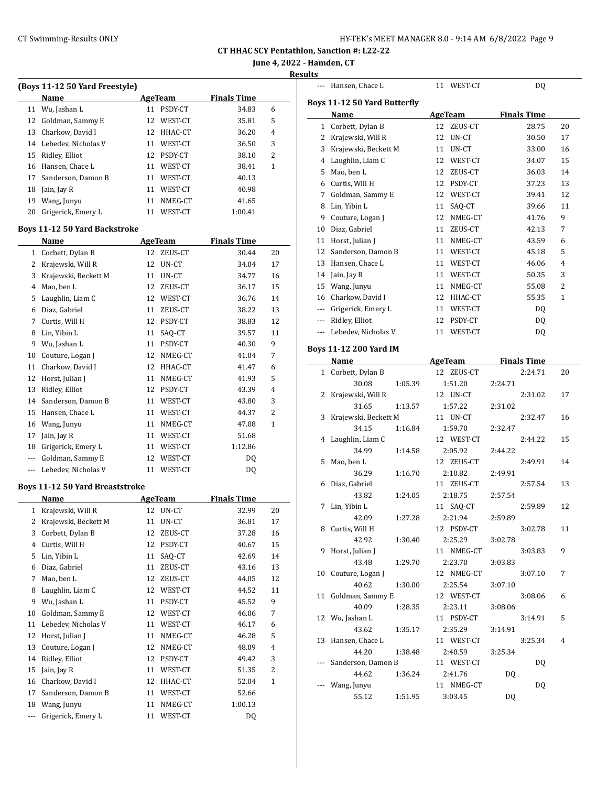| HY-TEK's MEET MANAGER 8.0 - 9:14 AM  6/8/2022  Page 9 |
|-------------------------------------------------------|
|-------------------------------------------------------|

--- Hansen, Chace L 11 WEST-CT DQ

**CT HHAC SCY Pentathlon, Sanction #: L22-22**

**June 4, 2022 - Hamden, CT**

### **Results**

|              | (Boys 11-12 50 Yard Freestyle)         |    |                |                    |                |
|--------------|----------------------------------------|----|----------------|--------------------|----------------|
|              | Name                                   |    | <b>AgeTeam</b> | <b>Finals Time</b> |                |
|              | 11 Wu, Jashan L                        | 11 | PSDY-CT        | 34.83              | 6              |
| 12           | Goldman, Sammy E                       | 12 | WEST-CT        | 35.81              | 5              |
| 13           | Charkow, David I                       |    | 12 HHAC-CT     | 36.20              | 4              |
| 14           | Lebedev, Nicholas V                    |    | 11 WEST-CT     | 36.50              | 3              |
| 15           | Ridley, Elliot                         |    | 12 PSDY-CT     | 38.10              | 2              |
| 16           | Hansen, Chace L                        |    | 11 WEST-CT     | 38.41              | 1              |
| 17           | Sanderson, Damon B                     |    | 11 WEST-CT     | 40.13              |                |
| 18           | Jain, Jay R                            |    | 11 WEST-CT     | 40.98              |                |
| 19           | Wang, Junyu                            | 11 | NMEG-CT        | 41.65              |                |
| 20           | Grigerick, Emery L                     |    | 11 WEST-CT     | 1:00.41            |                |
|              | <b>Boys 11-12 50 Yard Backstroke</b>   |    |                |                    |                |
|              | Name                                   |    | <b>AgeTeam</b> | <b>Finals Time</b> |                |
| $\mathbf{1}$ | Corbett, Dylan B                       |    | 12 ZEUS-CT     | 30.44              | 20             |
|              | 2 Krajewski, Will R                    | 12 | UN-CT          | 34.04              | 17             |
| 3            | Krajewski, Beckett M                   | 11 | UN-CT          | 34.77              | 16             |
| 4            | Mao, ben L                             | 12 | ZEUS-CT        | 36.17              | 15             |
| 5            | Laughlin, Liam C                       |    | 12 WEST-CT     | 36.76              | 14             |
| 6            | Diaz, Gabriel                          | 11 | ZEUS-CT        | 38.22              | 13             |
| 7            | Curtis, Will H                         |    | 12 PSDY-CT     | 38.83              | 12             |
| 8            | Lin, Yibin L                           | 11 |                | 39.57              | 11             |
| 9            |                                        |    | SAQ-CT         |                    | 9              |
|              | Wu, Jashan L                           | 11 | PSDY-CT        | 40.30              |                |
| 10           | Couture, Logan J                       |    | 12 NMEG-CT     | 41.04              | 7              |
| 11           | Charkow, David I                       |    | 12 HHAC-CT     | 41.47              | 6              |
| 12           | Horst, Julian J                        | 11 | NMEG-CT        | 41.93              | 5              |
| 13           | Ridley, Elliot                         |    | 12 PSDY-CT     | 43.39              | $\overline{4}$ |
| 14           | Sanderson, Damon B                     | 11 | WEST-CT        | 43.80              | 3              |
| 15           | Hansen, Chace L                        | 11 | WEST-CT        | 44.37              | 2              |
| 16           | Wang, Junyu                            | 11 | NMEG-CT        | 47.08              | 1              |
| 17           | Jain, Jay R                            |    | 11 WEST-CT     | 51.68              |                |
| 18           | Grigerick, Emery L                     |    | 11 WEST-CT     | 1:12.86            |                |
| $\cdots$     | Goldman, Sammy E                       | 12 | WEST-CT        | DQ                 |                |
| $\cdots$     | Lebedev, Nicholas V                    | 11 | WEST-CT        | DQ                 |                |
|              | <b>Boys 11-12 50 Yard Breaststroke</b> |    |                |                    |                |
|              | <b>Name</b>                            |    | <b>AgeTeam</b> | <b>Finals Time</b> |                |
| 1            | Krajewski, Will R                      |    | 12 UN-CT       | 32.99              | 20             |
| 2            | Krajewski, Beckett M                   | 11 | UN-CT          | 36.81              | 17             |
| 3            | Corbett, Dylan B                       | 12 | ZEUS-CT        | 37.28              | 16             |
| 4            | Curtis, Will H                         | 12 | PSDY-CT        | 40.67              | 15             |
| 5            | Lin, Yibin L                           | 11 | SAQ-CT         | 42.69              | 14             |
| 6            | Diaz, Gabriel                          | 11 | ZEUS-CT        | 43.16              | 13             |
| 7            | Mao, ben L                             | 12 | ZEUS-CT        | 44.05              | 12             |
| 8            | Laughlin, Liam C                       | 12 | WEST-CT        | 44.52              | 11             |
| 9            | Wu, Jashan L                           | 11 | PSDY-CT        | 45.52              | 9              |
| 10           | Goldman, Sammy E                       | 12 | WEST-CT        | 46.06              | 7              |
| 11           | Lebedev, Nicholas V                    | 11 | WEST-CT        | 46.17              | 6              |
| 12           | Horst, Julian J                        | 11 | NMEG-CT        | 46.28              | 5              |
| 13           | Couture, Logan J                       | 12 | NMEG-CT        | 48.09              | 4              |
| 14           | Ridley, Elliot                         | 12 | PSDY-CT        | 49.42              | 3              |
| 15           | Jain, Jay R                            | 11 | WEST-CT        | 51.35              | 2              |
| 16           | Charkow, David I                       | 12 | HHAC-CT        | 52.04              | 1              |
| 17           | Sanderson, Damon B                     | 11 | WEST-CT        | 52.66              |                |
| 18           | Wang, Junyu                            | 11 | NMEG-CT        | 1:00.13            |                |
| ---          | Grigerick, Emery L                     | 11 | WEST-CT        | DQ                 |                |
|              |                                        |    |                |                    |                |

|                          | Boys 11-12 50 Yard Butterfly      |                      |                    |              |
|--------------------------|-----------------------------------|----------------------|--------------------|--------------|
|                          | Name                              | <b>AgeTeam</b>       | <b>Finals Time</b> |              |
| 1                        | Corbett, Dylan B                  | 12<br>ZEUS-CT        | 28.75              | 20           |
|                          | 2 Krajewski, Will R               | 12<br>UN-CT          | 30.50              | 17           |
|                          | 3 Krajewski, Beckett M            | UN-CT<br>11          | 33.00              | 16           |
|                          | 4 Laughlin, Liam C                | 12 WEST-CT           | 34.07              | 15           |
|                          | 5 Mao, ben L                      | 12<br>ZEUS-CT        | 36.03              | 14           |
|                          | 6 Curtis, Will H                  | 12 PSDY-CT           | 37.23              | 13           |
| 7                        | Goldman, Sammy E                  | 12<br>WEST-CT        | 39.41              | 12           |
| 8                        | Lin, Yibin L                      | 11<br>SAQ-CT         | 39.66              | 11           |
| 9                        | Couture, Logan J                  | 12<br>NMEG-CT        | 41.76              | 9            |
| 10                       | Diaz, Gabriel                     | 11<br>ZEUS-CT        | 42.13              | 7            |
| 11                       | Horst, Julian J                   | 11<br>NMEG-CT        | 43.59              | 6            |
| 12                       | Sanderson, Damon B                | 11 WEST-CT           | 45.18              | 5            |
| 13                       | Hansen, Chace L                   | 11<br>WEST-CT        | 46.06              | 4            |
| 14                       | Jain, Jay R                       | 11 WEST-CT           | 50.35              | 3            |
| 15                       | Wang, Junyu                       | 11 NMEG-CT           | 55.08              | 2            |
|                          | 16 Charkow, David I               | 12 HHAC-CT           | 55.35              | $\mathbf{1}$ |
|                          | --- Grigerick, Emery L            | 11 WEST-CT           | DQ                 |              |
| $\overline{\phantom{a}}$ | Ridley, Elliot                    | 12 PSDY-CT           | DQ                 |              |
| $---$                    | Lebedev, Nicholas V               | 11 WEST-CT           | <b>DQ</b>          |              |
|                          |                                   |                      |                    |              |
|                          | <b>Boys 11-12 200 Yard IM</b>     |                      |                    |              |
|                          | Name                              | <b>AgeTeam</b>       | <b>Finals Time</b> |              |
| $\mathbf{1}$             | Corbett, Dylan B                  | 12 ZEUS-CT           | 2:24.71            | 20           |
|                          | 30.08<br>1:05.39                  | 1:51.20              | 2:24.71            |              |
| 2                        | Krajewski, Will R                 | 12 UN-CT             | 2:31.02            | 17           |
|                          | 31.65<br>1:13.57                  | 1:57.22              | 2:31.02            |              |
| 3                        | Krajewski, Beckett M              | 11 UN-CT             | 2:32.47            | 16           |
|                          | 34.15<br>1:16.84                  | 1:59.70              | 2:32.47            |              |
| 4                        | Laughlin, Liam C                  | 12 WEST-CT           | 2:44.22            | 15           |
|                          | 34.99<br>1:14.58                  | 2:05.92              | 2:44.22            |              |
| 5                        | Mao, ben L                        | 12 ZEUS-CT           | 2:49.91            | 14           |
|                          | 36.29<br>1:16.70<br>Diaz, Gabriel | 2:10.82<br>11        | 2:49.91<br>2:57.54 | 13           |
| 6                        |                                   | ZEUS-CT              |                    |              |
| 7                        | 43.82<br>1:24.05<br>Lin, Yibin L  | 2:18.75              | 2:57.54<br>2:59.89 | 12           |
|                          | 42.09<br>1:27.28                  | 11 SAQ-CT<br>2:21.94 | 2:59.89            |              |
| 8                        | Curtis, Will H                    | 12 PSDY-CT           | 3:02.78            | 11           |
|                          | 42.92<br>1:30.40                  | 2:25.29              | 3:02.78            |              |
| 9                        | Horst, Julian J                   | 11 NMEG-CT           | 3:03.83            | 9            |
|                          | 43.48<br>1:29.70                  | 2:23.70              |                    |              |
| 10                       | Couture, Logan J                  | 12 NMEG-CT           | 3:03.83<br>3:07.10 | 7            |
|                          | 40.62<br>1:30.00                  | 2:25.54              | 3:07.10            |              |
| 11                       | Goldman, Sammy E                  | 12 WEST-CT           | 3:08.06            | 6            |
|                          | 40.09<br>1:28.35                  | 2:23.11              | 3:08.06            |              |
| 12                       | Wu, Jashan L                      | 11 PSDY-CT           | 3:14.91            | 5            |
|                          | 43.62<br>1:35.17                  | 2:35.29              | 3:14.91            |              |
| 13                       | Hansen, Chace L                   | 11 WEST-CT           | 3:25.34            | 4            |
|                          | 44.20<br>1:38.48                  | 2:40.59              | 3:25.34            |              |
| ---                      | Sanderson, Damon B                | 11 WEST-CT           | DQ                 |              |
|                          | 44.62<br>1:36.24                  | 2:41.76              | DQ                 |              |
|                          | Wang, Junyu                       | 11 NMEG-CT           | <b>DQ</b>          |              |
|                          | 55.12<br>1:51.95                  | 3:03.45              | <b>DQ</b>          |              |
|                          |                                   |                      |                    |              |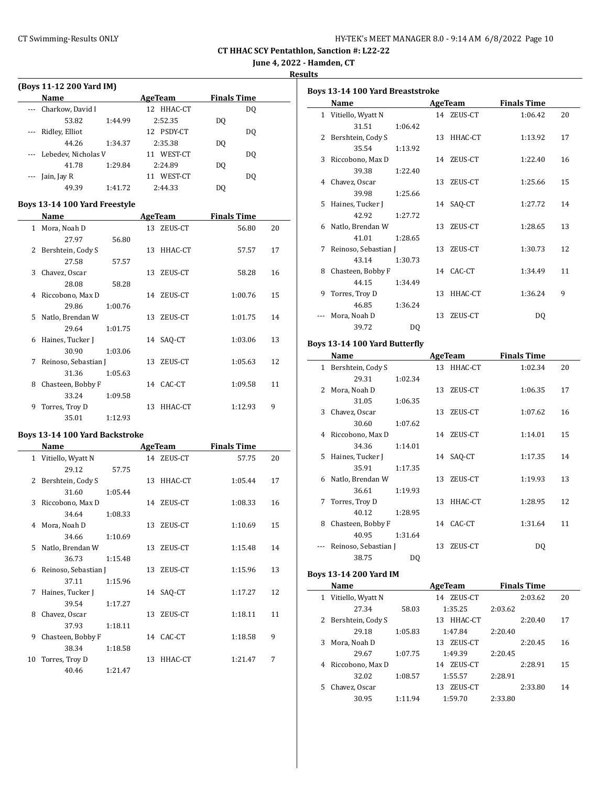| HY-TEK's MEET MANAGER 8.0 - 9:14 AM 6/8/2022 Page 10 |  |  |  |
|------------------------------------------------------|--|--|--|
|------------------------------------------------------|--|--|--|

**June 4, 2022 - Hamden, CT**

**Results**

| (Boys 11-12 200 Yard IM) |                         |         |                |                    |                |  |  |  |
|--------------------------|-------------------------|---------|----------------|--------------------|----------------|--|--|--|
|                          | Name                    |         | AgeTeam        | <b>Finals Time</b> |                |  |  |  |
|                          | Charkow, David I        |         | HHAC-CT<br>12. |                    | DQ             |  |  |  |
|                          | 53.82                   | 1:44.99 | 2:52.35        | DO.                |                |  |  |  |
|                          | Ridley, Elliot          |         | PSDY-CT<br>12. |                    | DO.            |  |  |  |
|                          | 44.26                   | 1:34.37 | 2:35.38        | DO                 |                |  |  |  |
|                          | --- Lebedev, Nicholas V |         | WEST-CT<br>11  |                    | D <sub>0</sub> |  |  |  |
|                          | 41.78                   | 1:29.84 | 2:24.89        | DO.                |                |  |  |  |
|                          | Jain, Jay R             |         | WEST-CT<br>11  |                    | DO.            |  |  |  |
|                          | 49.39                   | 1:41.72 | 2:44.33        | DO                 |                |  |  |  |

### **Boys 13-14 100 Yard Freestyle**

|    | Name                 |         |    | AgeTeam    | <b>Finals Time</b> |    |  |
|----|----------------------|---------|----|------------|--------------------|----|--|
|    | 1 Mora, Noah D       |         |    | 13 ZEUS-CT | 56.80              | 20 |  |
|    | 27.97                | 56.80   |    |            |                    |    |  |
| 2  | Bershtein, Cody S    |         |    | 13 HHAC-CT | 57.57              | 17 |  |
|    | 27.58                | 57.57   |    |            |                    |    |  |
| 3  | Chavez, Oscar        |         |    | 13 ZEUS-CT | 58.28              | 16 |  |
|    | 28.08                | 58.28   |    |            |                    |    |  |
| 4  | Riccobono, Max D     |         |    | 14 ZEUS-CT | 1:00.76            | 15 |  |
|    | 29.86                | 1:00.76 |    |            |                    |    |  |
| 5. | Natlo, Brendan W     |         |    | 13 ZEUS-CT | 1:01.75            | 14 |  |
|    | 29.64                | 1:01.75 |    |            |                    |    |  |
| 6  | Haines, Tucker J     |         |    | 14 SAQ-CT  | 1:03.06            | 13 |  |
|    | 30.90                | 1:03.06 |    |            |                    |    |  |
| 7  | Reinoso, Sebastian J |         |    | 13 ZEUS-CT | 1:05.63            | 12 |  |
|    | 31.36                | 1:05.63 |    |            |                    |    |  |
| 8  | Chasteen, Bobby F    |         |    | 14 CAC-CT  | 1:09.58            | 11 |  |
|    | 33.24                | 1:09.58 |    |            |                    |    |  |
| 9  | Torres, Troy D       |         | 13 | HHAC-CT    | 1:12.93            | 9  |  |
|    | 35.01                | 1:12.93 |    |            |                    |    |  |

### **Boys 13-14 100 Yard Backstroke**

|    | Name                 |         |    | <b>AgeTeam</b> | <b>Finals Time</b> |    |
|----|----------------------|---------|----|----------------|--------------------|----|
|    | 1 Vitiello, Wyatt N  |         |    | 14 ZEUS-CT     | 57.75              | 20 |
|    | 29.12                | 57.75   |    |                |                    |    |
|    | 2 Bershtein, Cody S  |         |    | 13 HHAC-CT     | 1:05.44            | 17 |
|    | 31.60                | 1:05.44 |    |                |                    |    |
| 3  | Riccobono, Max D     |         |    | 14 ZEUS-CT     | 1:08.33            | 16 |
|    | 34.64                | 1:08.33 |    |                |                    |    |
|    | 4 Mora, Noah D       |         |    | 13 ZEUS-CT     | 1:10.69            | 15 |
|    | 34.66                | 1:10.69 |    |                |                    |    |
| 5. | Natlo, Brendan W     |         |    | 13 ZEUS-CT     | 1:15.48            | 14 |
|    | 36.73                | 1:15.48 |    |                |                    |    |
| 6  | Reinoso, Sebastian J |         |    | 13 ZEUS-CT     | 1:15.96            | 13 |
|    | 37.11                | 1:15.96 |    |                |                    |    |
| 7  | Haines, Tucker J     |         |    | 14 SAQ-CT      | 1:17.27            | 12 |
|    | 39.54                | 1:17.27 |    |                |                    |    |
| 8  | Chavez, Oscar        |         |    | 13 ZEUS-CT     | 1:18.11            | 11 |
|    | 37.93                | 1:18.11 |    |                |                    |    |
| 9  | Chasteen, Bobby F    |         |    | 14 CAC-CT      | 1:18.58            | 9  |
|    | 38.34                | 1:18.58 |    |                |                    |    |
| 10 | Torres, Troy D       |         | 13 | HHAC-CT        | 1:21.47            | 7  |
|    | 40.46                | 1:21.47 |    |                |                    |    |

|    | <b>Boys 13-14 100 Yard Breaststroke</b> |         |    |                |                    |    |  |  |
|----|-----------------------------------------|---------|----|----------------|--------------------|----|--|--|
|    | Name                                    |         |    | <b>AgeTeam</b> | <b>Finals Time</b> |    |  |  |
|    | 1 Vitiello, Wyatt N                     |         |    | 14 ZEUS-CT     | 1:06.42            | 20 |  |  |
|    | 31.51                                   | 1:06.42 |    |                |                    |    |  |  |
|    | 2 Bershtein, Cody S                     |         |    | 13 HHAC-CT     | 1:13.92            | 17 |  |  |
|    | 35.54                                   | 1:13.92 |    |                |                    |    |  |  |
| 3  | Riccobono, Max D                        |         |    | 14 ZEUS-CT     | 1:22.40            | 16 |  |  |
|    | 39.38                                   | 1:22.40 |    |                |                    |    |  |  |
| 4  | Chavez, Oscar                           |         |    | 13 ZEUS-CT     | 1:25.66            | 15 |  |  |
|    | 39.98                                   | 1:25.66 |    |                |                    |    |  |  |
| 5. | Haines, Tucker J                        |         |    | 14 SAO-CT      | 1:27.72            | 14 |  |  |
|    | 42.92                                   | 1:27.72 |    |                |                    |    |  |  |
| 6  | Natlo, Brendan W                        |         | 13 | ZEUS-CT        | 1:28.65            | 13 |  |  |
|    | 41.01                                   | 1:28.65 |    |                |                    |    |  |  |
| 7  | Reinoso, Sebastian J                    |         |    | 13 ZEUS-CT     | 1:30.73            | 12 |  |  |
|    | 43.14                                   | 1:30.73 |    |                |                    |    |  |  |
| 8  | Chasteen, Bobby F                       |         |    | 14 CAC-CT      | 1:34.49            | 11 |  |  |
|    | 44.15                                   | 1:34.49 |    |                |                    |    |  |  |
| 9  | Torres, Troy D                          |         |    | 13 HHAC-CT     | 1:36.24            | 9  |  |  |
|    | 46.85                                   | 1:36.24 |    |                |                    |    |  |  |
|    | Mora, Noah D                            |         | 13 | ZEUS-CT        | DQ                 |    |  |  |
|    | 39.72                                   | DQ      |    |                |                    |    |  |  |

# **Boys 13-14 100 Yard Butterfly**

|              | Name                 |         |    | AgeTeam    | <b>Finals Time</b> |    |
|--------------|----------------------|---------|----|------------|--------------------|----|
| $\mathbf{1}$ | Bershtein, Cody S    |         |    | 13 HHAC-CT | 1:02.34            | 20 |
|              | 29.31                | 1:02.34 |    |            |                    |    |
| 2            | Mora, Noah D         |         | 13 | ZEUS-CT    | 1:06.35            | 17 |
|              | 31.05                | 1:06.35 |    |            |                    |    |
| 3            | Chavez, Oscar        |         | 13 | ZEUS-CT    | 1:07.62            | 16 |
|              | 30.60                | 1:07.62 |    |            |                    |    |
| 4            | Riccobono, Max D     |         |    | 14 ZEUS-CT | 1:14.01            | 15 |
|              | 34.36                | 1:14.01 |    |            |                    |    |
| 5.           | Haines, Tucker J     |         |    | 14 SAO-CT  | 1:17.35            | 14 |
|              | 35.91                | 1:17.35 |    |            |                    |    |
| 6            | Natlo, Brendan W     |         | 13 | ZEUS-CT    | 1:19.93            | 13 |
|              | 36.61                | 1:19.93 |    |            |                    |    |
| 7            | Torres, Troy D       |         | 13 | HHAC-CT    | 1:28.95            | 12 |
|              | 40.12                | 1:28.95 |    |            |                    |    |
| 8            | Chasteen, Bobby F    |         |    | 14 CAC-CT  | 1:31.64            | 11 |
|              | 40.95                | 1:31.64 |    |            |                    |    |
|              | Reinoso, Sebastian J |         | 13 | ZEUS-CT    | DQ                 |    |
|              | 38.75                | DQ      |    |            |                    |    |

# **Boys 13-14 200 Yard IM**

|    | Name                |         | AgeTeam       | <b>Finals Time</b> |    |
|----|---------------------|---------|---------------|--------------------|----|
| 1  | Vitiello, Wyatt N   |         | ZEUS-CT<br>14 | 2:03.62            | 20 |
|    | 27.34               | 58.03   | 1:35.25       | 2:03.62            |    |
|    | 2 Bershtein, Cody S |         | HHAC-CT<br>13 | 2:20.40            | 17 |
|    | 29.18               | 1:05.83 | 1:47.84       | 2:20.40            |    |
| 3  | Mora, Noah D        |         | ZEUS-CT<br>13 | 2:20.45            | 16 |
|    | 29.67               | 1:07.75 | 1:49.39       | 2:20.45            |    |
| 4  | Riccobono, Max D    |         | ZEUS-CT<br>14 | 2:28.91            | 15 |
|    | 32.02               | 1:08.57 | 1:55.57       | 2:28.91            |    |
| 5. | Chavez, Oscar       |         | ZEUS-CT<br>13 | 2:33.80            | 14 |
|    | 30.95               | 1:11.94 | 1:59.70       | 2:33.80            |    |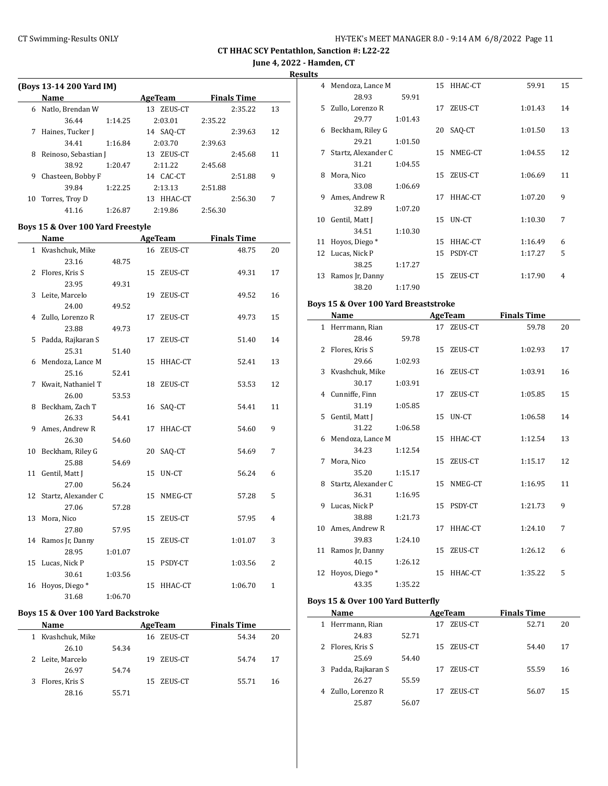**June 4, 2022 - Hamden, CT**

**Results**

|    | (Boys 13-14 200 Yard IM) |         |                |         |                    |    |
|----|--------------------------|---------|----------------|---------|--------------------|----|
|    | Name                     |         | AgeTeam        |         | <b>Finals Time</b> |    |
| 6  | Natlo, Brendan W         |         | ZEUS-CT<br>13. |         | 2:35.22            | 13 |
|    | 36.44                    | 1:14.25 | 2:03.01        | 2:35.22 |                    |    |
| 7  | Haines, Tucker J         |         | 14 SAQ-CT      |         | 2:39.63            | 12 |
|    | 34.41                    | 1:16.84 | 2:03.70        | 2:39.63 |                    |    |
| 8  | Reinoso, Sebastian J     |         | ZEUS-CT<br>13. |         | 2:45.68            | 11 |
|    | 38.92                    | 1:20.47 | 2.11.22        | 2:45.68 |                    |    |
| 9  | Chasteen, Bobby F        |         | 14 CAC-CT      |         | 2:51.88            | 9  |
|    | 39.84                    | 1:22.25 | 2:13.13        | 2:51.88 |                    |    |
| 10 | Torres, Troy D           |         | HHAC-CT<br>13  |         | 2:56.30            | 7  |
|    | 41.16                    | 1:26.87 | 2:19.86        | 2:56.30 |                    |    |

### **Boys 15 & Over 100 Yard Freestyle**

|    | Name                   |         |    | <b>AgeTeam</b> | <b>Finals Time</b> |              |
|----|------------------------|---------|----|----------------|--------------------|--------------|
|    | 1 Kvashchuk, Mike      |         |    | 16 ZEUS-CT     | 48.75              | 20           |
|    | 23.16                  | 48.75   |    |                |                    |              |
| 2  | Flores, Kris S         |         |    | 15 ZEUS-CT     | 49.31              | 17           |
|    | 23.95                  | 49.31   |    |                |                    |              |
| 3  | Leite, Marcelo         |         |    | 19 ZEUS-CT     | 49.52              | 16           |
|    | 24.00                  | 49.52   |    |                |                    |              |
|    | 4 Zullo, Lorenzo R     |         |    | 17 ZEUS-CT     | 49.73              | 15           |
|    | 23.88                  | 49.73   |    |                |                    |              |
| 5  | Padda, Rajkaran S      |         | 17 | ZEUS-CT        | 51.40              | 14           |
|    | 25.31                  | 51.40   |    |                |                    |              |
|    | 6 Mendoza, Lance M     |         |    | 15 HHAC-CT     | 52.41              | 13           |
|    | 25.16                  | 52.41   |    |                |                    |              |
| 7  | Kwait, Nathaniel T     |         |    | 18 ZEUS-CT     | 53.53              | 12           |
|    | 26.00                  | 53.53   |    |                |                    |              |
| 8  | Beckham, Zach T        |         |    | 16 SAQ-CT      | 54.41              | 11           |
|    | 26.33                  | 54.41   |    |                |                    |              |
|    | 9 Ames, Andrew R       |         | 17 | HHAC-CT        | 54.60              | 9            |
|    | 26.30                  | 54.60   |    |                |                    |              |
|    | 10 Beckham, Riley G    |         |    | 20 SAQ-CT      | 54.69              | 7            |
|    | 25.88                  | 54.69   |    |                |                    |              |
|    | 11 Gentil, Matt J      |         |    | 15 UN-CT       | 56.24              | 6            |
|    | 27.00                  | 56.24   |    |                |                    |              |
|    | 12 Startz, Alexander C |         | 15 | NMEG-CT        | 57.28              | 5            |
|    | 27.06                  | 57.28   |    |                |                    |              |
|    | 13 Mora, Nico          |         |    | 15 ZEUS-CT     | 57.95              | 4            |
|    | 27.80                  | 57.95   |    |                |                    |              |
|    | 14 Ramos Jr, Danny     |         |    | 15 ZEUS-CT     | 1:01.07            | 3            |
|    | 28.95                  | 1:01.07 |    |                |                    |              |
|    | 15 Lucas, Nick P       |         |    | 15 PSDY-CT     | 1:03.56            | 2            |
|    | 30.61                  | 1:03.56 |    |                |                    |              |
| 16 | Hoyos, Diego*          |         | 15 | HHAC-CT        | 1:06.70            | $\mathbf{1}$ |
|    | 31.68                  | 1:06.70 |    |                |                    |              |

#### **Boys 15 & Over 100 Yard Backstroke**

L

| <b>Name</b>          |       | AgeTeam        | <b>Finals Time</b> |    |
|----------------------|-------|----------------|--------------------|----|
| Kvashchuk, Mike<br>1 |       | 16 ZEUS-CT     | 54.34              | 20 |
| 26.10                | 54.34 |                |                    |    |
| 2 Leite, Marcelo     |       | ZEUS-CT<br>19. | 54.74              | 17 |
| 26.97                | 54.74 |                |                    |    |
| Flores, Kris S<br>3  |       | 15 ZEUS-CT     | 55.71              | 16 |
| 28.16                | 55.71 |                |                    |    |

| э  |                     |         |    |            |         |    |
|----|---------------------|---------|----|------------|---------|----|
| 4  | Mendoza, Lance M    |         |    | 15 HHAC-CT | 59.91   | 15 |
|    | 28.93               | 59.91   |    |            |         |    |
| 5. | Zullo, Lorenzo R    |         | 17 | ZEUS-CT    | 1:01.43 | 14 |
|    | 29.77               | 1:01.43 |    |            |         |    |
| 6  | Beckham, Riley G    |         | 20 | SAQ-CT     | 1:01.50 | 13 |
|    | 29.21               | 1:01.50 |    |            |         |    |
| 7  | Startz, Alexander C |         | 15 | NMEG-CT    | 1:04.55 | 12 |
|    | 31.21               | 1:04.55 |    |            |         |    |
| 8  | Mora, Nico          |         | 15 | ZEUS-CT    | 1:06.69 | 11 |
|    | 33.08               | 1:06.69 |    |            |         |    |
| 9  | Ames, Andrew R      |         | 17 | HHAC-CT    | 1:07.20 | 9  |
|    | 32.89               | 1:07.20 |    |            |         |    |
| 10 | Gentil, Matt J      |         | 15 | UN-CT      | 1:10.30 | 7  |
|    | 34.51               | 1:10.30 |    |            |         |    |
| 11 | Hoyos, Diego*       |         | 15 | HHAC-CT    | 1:16.49 | 6  |
| 12 | Lucas, Nick P       |         | 15 | PSDY-CT    | 1:17.27 | 5  |
|    | 38.25               | 1:17.27 |    |            |         |    |
| 13 | Ramos Jr, Danny     |         | 15 | ZEUS-CT    | 1:17.90 | 4  |
|    | 38.20               | 1:17.90 |    |            |         |    |

### **Boys 15 & Over 100 Yard Breaststroke**

|   | <b>Name</b>           |         |    | AgeTeam    | <b>Finals Time</b> |    |
|---|-----------------------|---------|----|------------|--------------------|----|
|   | 1 Herrmann, Rian      |         |    | 17 ZEUS-CT | 59.78              | 20 |
|   | 28.46                 | 59.78   |    |            |                    |    |
|   | 2 Flores, Kris S      |         |    | 15 ZEUS-CT | 1:02.93            | 17 |
|   | 29.66                 | 1:02.93 |    |            |                    |    |
|   | 3 Kvashchuk, Mike     |         |    | 16 ZEUS-CT | 1:03.91            | 16 |
|   | 30.17                 | 1:03.91 |    |            |                    |    |
|   | 4 Cunniffe, Finn      |         |    | 17 ZEUS-CT | 1:05.85            | 15 |
|   | 31.19                 | 1:05.85 |    |            |                    |    |
|   | 5 Gentil, Matt J      |         |    | 15 UN-CT   | 1:06.58            | 14 |
|   | 31.22                 | 1:06.58 |    |            |                    |    |
|   | 6 Mendoza, Lance M    |         |    | 15 HHAC-CT | 1:12.54            | 13 |
|   | 34.23                 | 1:12.54 |    |            |                    |    |
| 7 | Mora, Nico            |         |    | 15 ZEUS-CT | 1:15.17            | 12 |
|   | 35.20                 | 1:15.17 |    |            |                    |    |
|   | 8 Startz, Alexander C |         |    | 15 NMEG-CT | 1:16.95            | 11 |
|   | 36.31                 | 1:16.95 |    |            |                    |    |
|   | 9 Lucas, Nick P       |         |    | 15 PSDY-CT | 1:21.73            | 9  |
|   | 38.88                 | 1:21.73 |    |            |                    |    |
|   | 10 Ames, Andrew R     |         | 17 | HHAC-CT    | 1:24.10            | 7  |
|   | 39.83                 | 1:24.10 |    |            |                    |    |
|   | 11 Ramos Jr, Danny    |         |    | 15 ZEUS-CT | 1:26.12            | 6  |
|   | 40.15                 | 1:26.12 |    |            |                    |    |
|   | 12 Hoyos, Diego*      |         | 15 | HHAC-CT    | 1:35.22            | 5  |
|   | 43.35                 | 1:35.22 |    |            |                    |    |

# **Boys 15 & Over 100 Yard Butterfly**

 $\frac{1}{2}$ 

|   | Name              |       |    | AgeTeam    | <b>Finals Time</b> |    |
|---|-------------------|-------|----|------------|--------------------|----|
| 1 | Herrmann, Rian    |       | 17 | ZEUS-CT    | 52.71              | 20 |
|   | 24.83             | 52.71 |    |            |                    |    |
| 2 | Flores, Kris S    |       |    | 15 ZEUS-CT | 54.40              | 17 |
|   | 25.69             | 54.40 |    |            |                    |    |
| 3 | Padda, Rajkaran S |       | 17 | ZEUS-CT    | 55.59              | 16 |
|   | 26.27             | 55.59 |    |            |                    |    |
|   | Zullo, Lorenzo R  |       |    | ZEUS-CT    | 56.07              | 15 |
|   | 25.87             | 56.07 |    |            |                    |    |